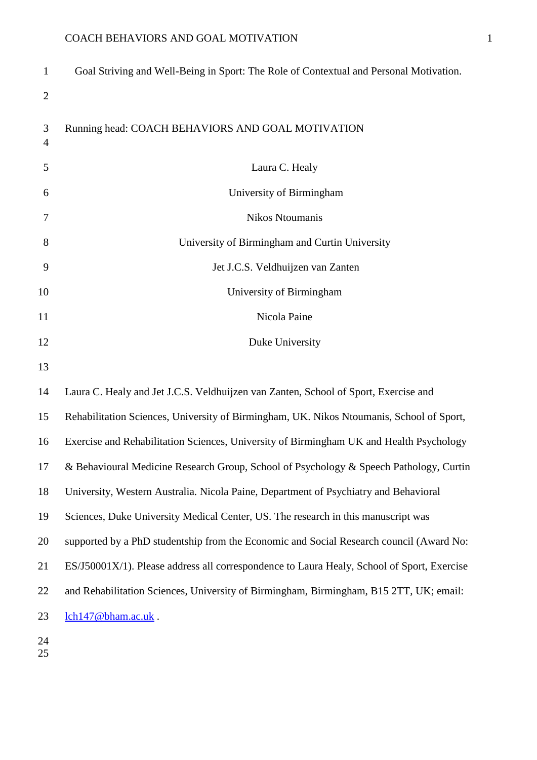| $\mathbf{1}$        | Goal Striving and Well-Being in Sport: The Role of Contextual and Personal Motivation.     |
|---------------------|--------------------------------------------------------------------------------------------|
| $\overline{2}$      |                                                                                            |
| 3<br>$\overline{4}$ | Running head: COACH BEHAVIORS AND GOAL MOTIVATION                                          |
| 5                   | Laura C. Healy                                                                             |
| 6                   | University of Birmingham                                                                   |
| 7                   | Nikos Ntoumanis                                                                            |
| 8                   | University of Birmingham and Curtin University                                             |
| 9                   | Jet J.C.S. Veldhuijzen van Zanten                                                          |
| 10                  | University of Birmingham                                                                   |
| 11                  | Nicola Paine                                                                               |
| 12                  | Duke University                                                                            |
| 13                  |                                                                                            |
| 14                  | Laura C. Healy and Jet J.C.S. Veldhuijzen van Zanten, School of Sport, Exercise and        |
| 15                  | Rehabilitation Sciences, University of Birmingham, UK. Nikos Ntoumanis, School of Sport,   |
| 16                  | Exercise and Rehabilitation Sciences, University of Birmingham UK and Health Psychology    |
| 17                  | & Behavioural Medicine Research Group, School of Psychology & Speech Pathology, Curtin     |
| 18                  | University, Western Australia. Nicola Paine, Department of Psychiatry and Behavioral       |
| 19                  | Sciences, Duke University Medical Center, US. The research in this manuscript was          |
| 20                  | supported by a PhD studentship from the Economic and Social Research council (Award No:    |
| 21                  | ES/J50001X/1). Please address all correspondence to Laura Healy, School of Sport, Exercise |
| 22                  | and Rehabilitation Sciences, University of Birmingham, Birmingham, B15 2TT, UK; email:     |
| 23                  | lch147@bham.ac.uk.                                                                         |
| 24                  |                                                                                            |

 $\frac{25}{25}$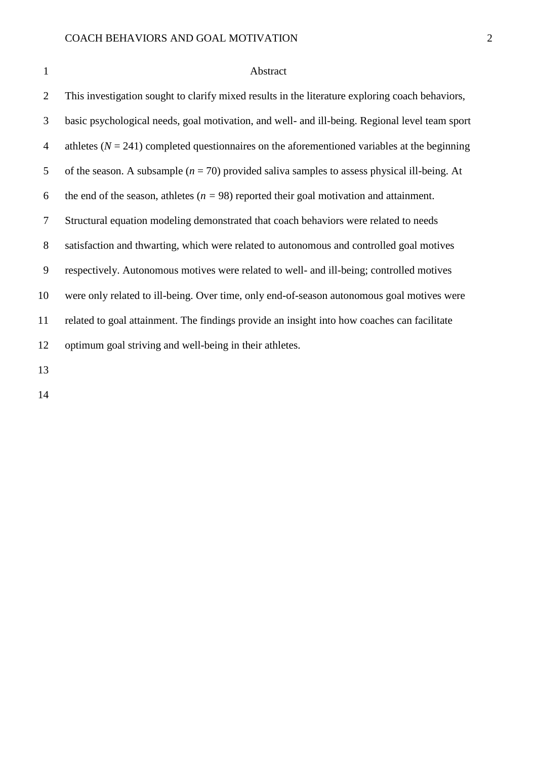# Abstract

| $\overline{2}$ | This investigation sought to clarify mixed results in the literature exploring coach behaviors,  |
|----------------|--------------------------------------------------------------------------------------------------|
| 3              | basic psychological needs, goal motivation, and well- and ill-being. Regional level team sport   |
| $\overline{4}$ | athletes ( $N = 241$ ) completed questionnaires on the aforementioned variables at the beginning |
| 5              | of the season. A subsample ( $n = 70$ ) provided saliva samples to assess physical ill-being. At |
| 6              | the end of the season, athletes ( $n = 98$ ) reported their goal motivation and attainment.      |
| 7              | Structural equation modeling demonstrated that coach behaviors were related to needs             |
| 8              | satisfaction and thwarting, which were related to autonomous and controlled goal motives         |
| 9              | respectively. Autonomous motives were related to well- and ill-being; controlled motives         |
| 10             | were only related to ill-being. Over time, only end-of-season autonomous goal motives were       |
| 11             | related to goal attainment. The findings provide an insight into how coaches can facilitate      |
| 12             | optimum goal striving and well-being in their athletes.                                          |
| 13             |                                                                                                  |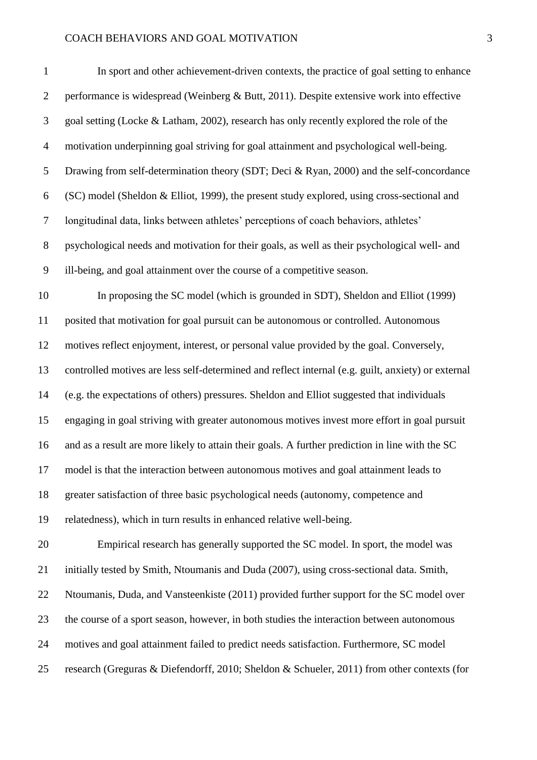| $\mathbf{1}$   | In sport and other achievement-driven contexts, the practice of goal setting to enhance            |
|----------------|----------------------------------------------------------------------------------------------------|
| $\mathbf{2}$   | performance is widespread (Weinberg $\&$ Butt, 2011). Despite extensive work into effective        |
| 3              | goal setting (Locke & Latham, 2002), research has only recently explored the role of the           |
| $\overline{4}$ | motivation underpinning goal striving for goal attainment and psychological well-being.            |
| 5              | Drawing from self-determination theory (SDT; Deci & Ryan, 2000) and the self-concordance           |
| 6              | (SC) model (Sheldon & Elliot, 1999), the present study explored, using cross-sectional and         |
| 7              | longitudinal data, links between athletes' perceptions of coach behaviors, athletes'               |
| $8\,$          | psychological needs and motivation for their goals, as well as their psychological well- and       |
| 9              | ill-being, and goal attainment over the course of a competitive season.                            |
| 10             | In proposing the SC model (which is grounded in SDT), Sheldon and Elliot (1999)                    |
| 11             | posited that motivation for goal pursuit can be autonomous or controlled. Autonomous               |
| 12             | motives reflect enjoyment, interest, or personal value provided by the goal. Conversely,           |
| 13             | controlled motives are less self-determined and reflect internal (e.g. guilt, anxiety) or external |
| 14             | (e.g. the expectations of others) pressures. Sheldon and Elliot suggested that individuals         |
| 15             | engaging in goal striving with greater autonomous motives invest more effort in goal pursuit       |
| 16             | and as a result are more likely to attain their goals. A further prediction in line with the SC    |
| 17             | model is that the interaction between autonomous motives and goal attainment leads to              |
| 18             | greater satisfaction of three basic psychological needs (autonomy, competence and                  |
| 19             | relatedness), which in turn results in enhanced relative well-being.                               |
| 20             | Empirical research has generally supported the SC model. In sport, the model was                   |
| 21             | initially tested by Smith, Ntoumanis and Duda (2007), using cross-sectional data. Smith,           |
| 22             | Ntoumanis, Duda, and Vansteenkiste (2011) provided further support for the SC model over           |
| 23             | the course of a sport season, however, in both studies the interaction between autonomous          |
| 24             | motives and goal attainment failed to predict needs satisfaction. Furthermore, SC model            |
|                |                                                                                                    |

research (Greguras & Diefendorff, 2010; Sheldon & Schueler, 2011) from other contexts (for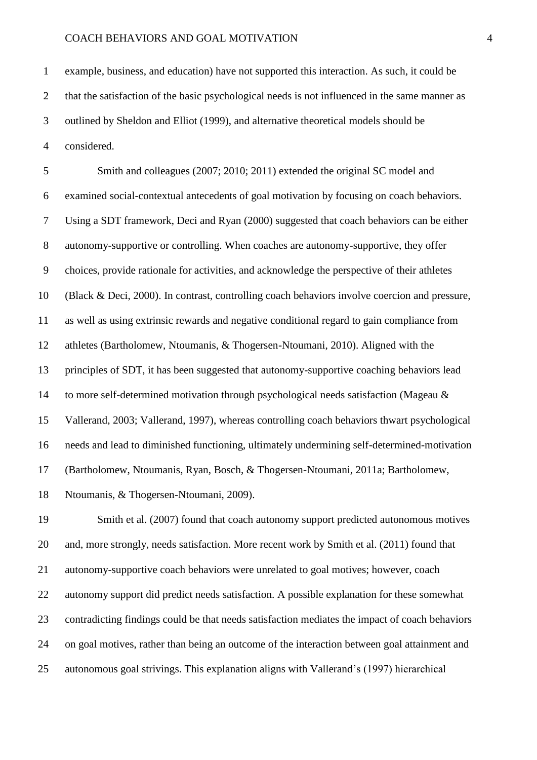example, business, and education) have not supported this interaction. As such, it could be 2 that the satisfaction of the basic psychological needs is not influenced in the same manner as outlined by Sheldon and Elliot (1999), and alternative theoretical models should be considered.

 Smith and colleagues (2007; 2010; 2011) extended the original SC model and examined social-contextual antecedents of goal motivation by focusing on coach behaviors. Using a SDT framework, Deci and Ryan (2000) suggested that coach behaviors can be either autonomy-supportive or controlling. When coaches are autonomy-supportive, they offer choices, provide rationale for activities, and acknowledge the perspective of their athletes (Black & Deci, 2000). In contrast, controlling coach behaviors involve coercion and pressure, as well as using extrinsic rewards and negative conditional regard to gain compliance from athletes (Bartholomew, Ntoumanis, & Thogersen-Ntoumani, 2010). Aligned with the principles of SDT, it has been suggested that autonomy-supportive coaching behaviors lead to more self-determined motivation through psychological needs satisfaction (Mageau & Vallerand, 2003; Vallerand, 1997), whereas controlling coach behaviors thwart psychological needs and lead to diminished functioning, ultimately undermining self-determined-motivation (Bartholomew, Ntoumanis, Ryan, Bosch, & Thogersen-Ntoumani, 2011a; Bartholomew, Ntoumanis, & Thogersen-Ntoumani, 2009).

 Smith et al. (2007) found that coach autonomy support predicted autonomous motives and, more strongly, needs satisfaction. More recent work by Smith et al. (2011) found that autonomy-supportive coach behaviors were unrelated to goal motives; however, coach autonomy support did predict needs satisfaction. A possible explanation for these somewhat contradicting findings could be that needs satisfaction mediates the impact of coach behaviors on goal motives, rather than being an outcome of the interaction between goal attainment and autonomous goal strivings. This explanation aligns with Vallerand's (1997) hierarchical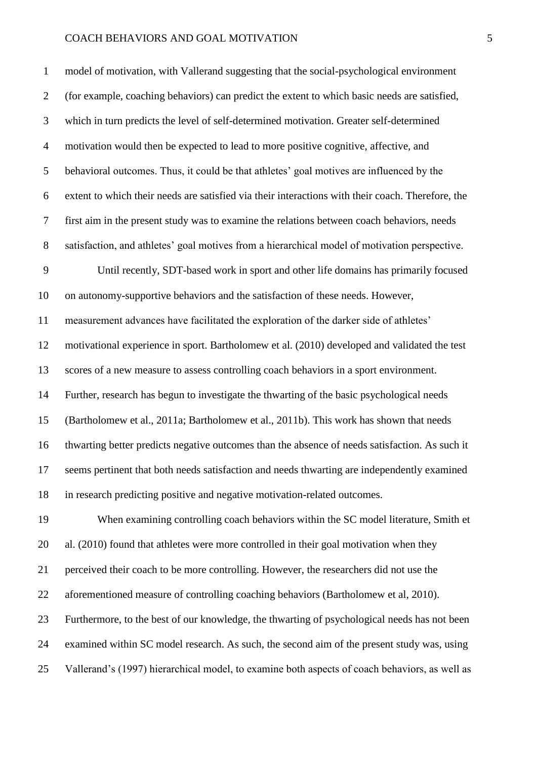model of motivation, with Vallerand suggesting that the social-psychological environment (for example, coaching behaviors) can predict the extent to which basic needs are satisfied, which in turn predicts the level of self-determined motivation. Greater self-determined motivation would then be expected to lead to more positive cognitive, affective, and behavioral outcomes. Thus, it could be that athletes' goal motives are influenced by the extent to which their needs are satisfied via their interactions with their coach. Therefore, the first aim in the present study was to examine the relations between coach behaviors, needs satisfaction, and athletes' goal motives from a hierarchical model of motivation perspective. Until recently, SDT-based work in sport and other life domains has primarily focused on autonomy-supportive behaviors and the satisfaction of these needs. However, measurement advances have facilitated the exploration of the darker side of athletes' motivational experience in sport. Bartholomew et al. (2010) developed and validated the test scores of a new measure to assess controlling coach behaviors in a sport environment. Further, research has begun to investigate the thwarting of the basic psychological needs (Bartholomew et al., 2011a; Bartholomew et al., 2011b). This work has shown that needs thwarting better predicts negative outcomes than the absence of needs satisfaction. As such it seems pertinent that both needs satisfaction and needs thwarting are independently examined in research predicting positive and negative motivation-related outcomes. When examining controlling coach behaviors within the SC model literature, Smith et al. (2010) found that athletes were more controlled in their goal motivation when they perceived their coach to be more controlling. However, the researchers did not use the

aforementioned measure of controlling coaching behaviors (Bartholomew et al, 2010).

Furthermore, to the best of our knowledge, the thwarting of psychological needs has not been

examined within SC model research. As such, the second aim of the present study was, using

Vallerand's (1997) hierarchical model, to examine both aspects of coach behaviors, as well as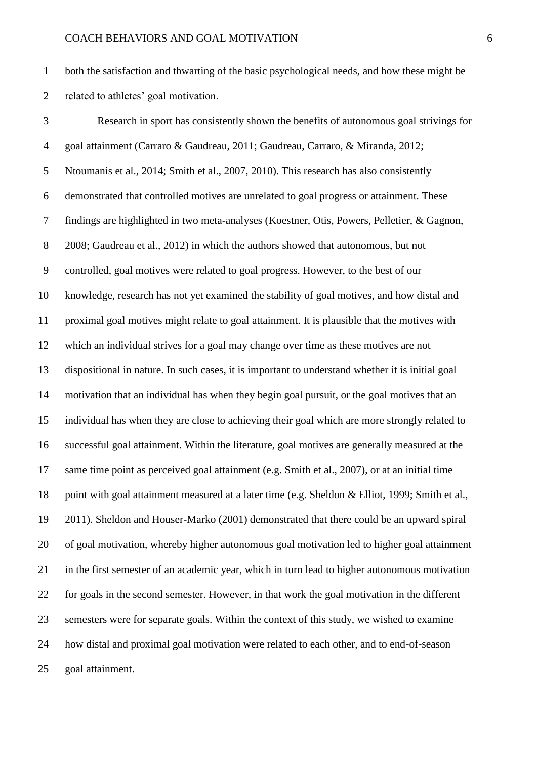both the satisfaction and thwarting of the basic psychological needs, and how these might be related to athletes' goal motivation.

 Research in sport has consistently shown the benefits of autonomous goal strivings for goal attainment (Carraro & Gaudreau, 2011; Gaudreau, Carraro, & Miranda, 2012; Ntoumanis et al., 2014; Smith et al., 2007, 2010). This research has also consistently demonstrated that controlled motives are unrelated to goal progress or attainment. These findings are highlighted in two meta-analyses (Koestner, Otis, Powers, Pelletier, & Gagnon, 2008; Gaudreau et al., 2012) in which the authors showed that autonomous, but not controlled, goal motives were related to goal progress. However, to the best of our knowledge, research has not yet examined the stability of goal motives, and how distal and proximal goal motives might relate to goal attainment. It is plausible that the motives with which an individual strives for a goal may change over time as these motives are not dispositional in nature. In such cases, it is important to understand whether it is initial goal motivation that an individual has when they begin goal pursuit, or the goal motives that an individual has when they are close to achieving their goal which are more strongly related to successful goal attainment. Within the literature, goal motives are generally measured at the same time point as perceived goal attainment (e.g. Smith et al., 2007), or at an initial time point with goal attainment measured at a later time (e.g. Sheldon & Elliot, 1999; Smith et al., 2011). Sheldon and Houser-Marko (2001) demonstrated that there could be an upward spiral of goal motivation, whereby higher autonomous goal motivation led to higher goal attainment in the first semester of an academic year, which in turn lead to higher autonomous motivation for goals in the second semester. However, in that work the goal motivation in the different semesters were for separate goals. Within the context of this study, we wished to examine how distal and proximal goal motivation were related to each other, and to end-of-season goal attainment.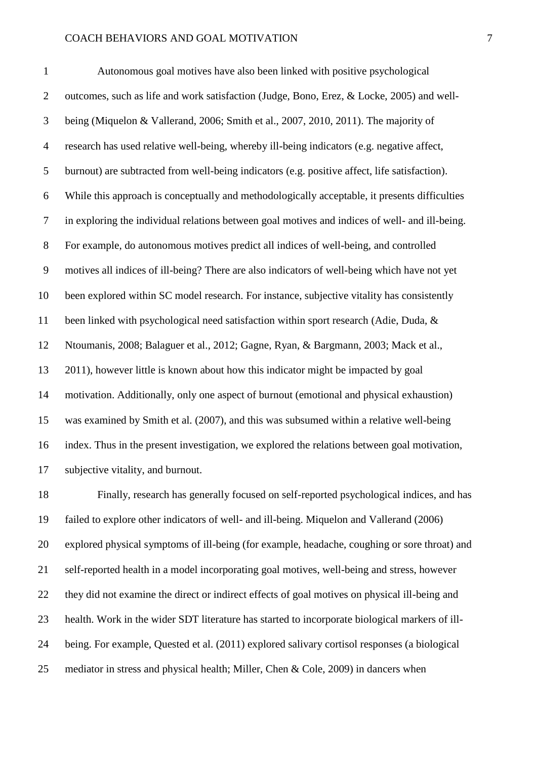Autonomous goal motives have also been linked with positive psychological outcomes, such as life and work satisfaction (Judge, Bono, Erez, & Locke, 2005) and well- being (Miquelon & Vallerand, 2006; Smith et al., 2007, 2010, 2011). The majority of research has used relative well-being, whereby ill-being indicators (e.g. negative affect, burnout) are subtracted from well-being indicators (e.g. positive affect, life satisfaction). While this approach is conceptually and methodologically acceptable, it presents difficulties in exploring the individual relations between goal motives and indices of well- and ill-being. For example, do autonomous motives predict all indices of well-being, and controlled motives all indices of ill-being? There are also indicators of well-being which have not yet been explored within SC model research. For instance, subjective vitality has consistently 11 been linked with psychological need satisfaction within sport research (Adie, Duda, & Ntoumanis, 2008; Balaguer et al., 2012; Gagne, Ryan, & Bargmann, 2003; Mack et al., 2011), however little is known about how this indicator might be impacted by goal motivation. Additionally, only one aspect of burnout (emotional and physical exhaustion) was examined by Smith et al. (2007), and this was subsumed within a relative well-being index. Thus in the present investigation, we explored the relations between goal motivation, subjective vitality, and burnout.

 Finally, research has generally focused on self-reported psychological indices, and has failed to explore other indicators of well- and ill-being. Miquelon and Vallerand (2006) explored physical symptoms of ill-being (for example, headache, coughing or sore throat) and self-reported health in a model incorporating goal motives, well-being and stress, however they did not examine the direct or indirect effects of goal motives on physical ill-being and health. Work in the wider SDT literature has started to incorporate biological markers of ill- being. For example, Quested et al. (2011) explored salivary cortisol responses (a biological mediator in stress and physical health; Miller, Chen & Cole, 2009) in dancers when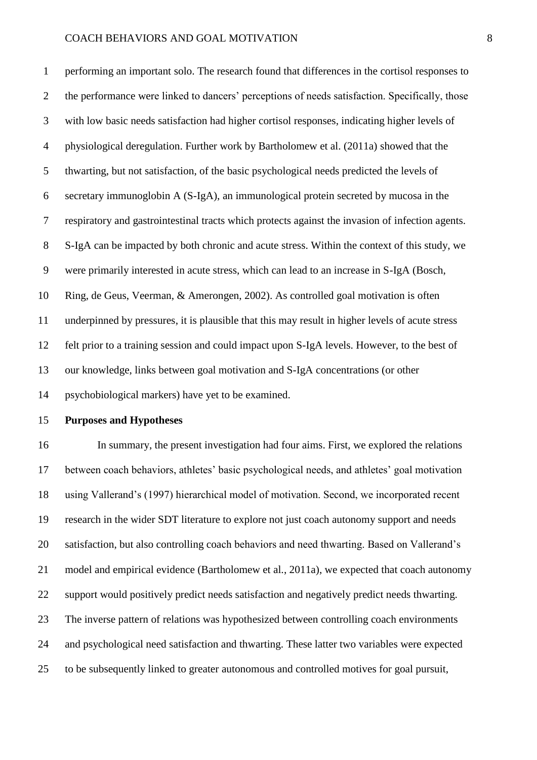performing an important solo. The research found that differences in the cortisol responses to the performance were linked to dancers' perceptions of needs satisfaction. Specifically, those with low basic needs satisfaction had higher cortisol responses, indicating higher levels of physiological deregulation. Further work by Bartholomew et al. (2011a) showed that the thwarting, but not satisfaction, of the basic psychological needs predicted the levels of secretary immunoglobin A (S-IgA), an immunological protein secreted by mucosa in the respiratory and gastrointestinal tracts which protects against the invasion of infection agents. S-IgA can be impacted by both chronic and acute stress. Within the context of this study, we were primarily interested in acute stress, which can lead to an increase in S-IgA (Bosch, Ring, de Geus, Veerman, & Amerongen, 2002). As controlled goal motivation is often underpinned by pressures, it is plausible that this may result in higher levels of acute stress felt prior to a training session and could impact upon S-IgA levels. However, to the best of our knowledge, links between goal motivation and S-IgA concentrations (or other psychobiological markers) have yet to be examined.

### **Purposes and Hypotheses**

 In summary, the present investigation had four aims. First, we explored the relations between coach behaviors, athletes' basic psychological needs, and athletes' goal motivation using Vallerand's (1997) hierarchical model of motivation. Second, we incorporated recent research in the wider SDT literature to explore not just coach autonomy support and needs satisfaction, but also controlling coach behaviors and need thwarting. Based on Vallerand's model and empirical evidence (Bartholomew et al., 2011a), we expected that coach autonomy support would positively predict needs satisfaction and negatively predict needs thwarting. The inverse pattern of relations was hypothesized between controlling coach environments and psychological need satisfaction and thwarting. These latter two variables were expected to be subsequently linked to greater autonomous and controlled motives for goal pursuit,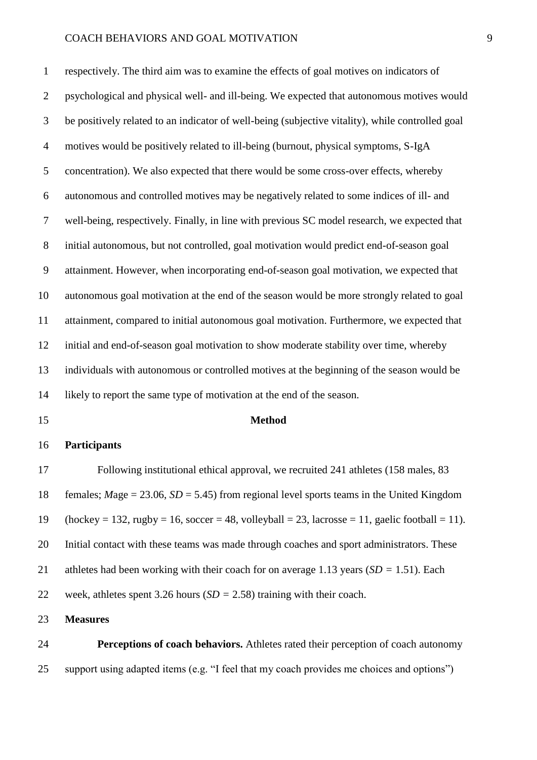respectively. The third aim was to examine the effects of goal motives on indicators of psychological and physical well- and ill-being. We expected that autonomous motives would be positively related to an indicator of well-being (subjective vitality), while controlled goal motives would be positively related to ill-being (burnout, physical symptoms, S-IgA concentration). We also expected that there would be some cross-over effects, whereby autonomous and controlled motives may be negatively related to some indices of ill- and well-being, respectively. Finally, in line with previous SC model research, we expected that initial autonomous, but not controlled, goal motivation would predict end-of-season goal attainment. However, when incorporating end-of-season goal motivation, we expected that autonomous goal motivation at the end of the season would be more strongly related to goal attainment, compared to initial autonomous goal motivation. Furthermore, we expected that initial and end-of-season goal motivation to show moderate stability over time, whereby individuals with autonomous or controlled motives at the beginning of the season would be likely to report the same type of motivation at the end of the season.

## **Method**

#### **Participants**

 Following institutional ethical approval, we recruited 241 athletes (158 males, 83 females; *M*age = 23.06, *SD* = 5.45) from regional level sports teams in the United Kingdom 19 (hockey = 132, rugby = 16, soccer = 48, volleyball = 23, lacrosse = 11, gaelic football = 11). Initial contact with these teams was made through coaches and sport administrators. These athletes had been working with their coach for on average 1.13 years (*SD =* 1.51). Each week, athletes spent 3.26 hours (*SD =* 2.58) training with their coach.

## **Measures**

 **Perceptions of coach behaviors.** Athletes rated their perception of coach autonomy support using adapted items (e.g. "I feel that my coach provides me choices and options")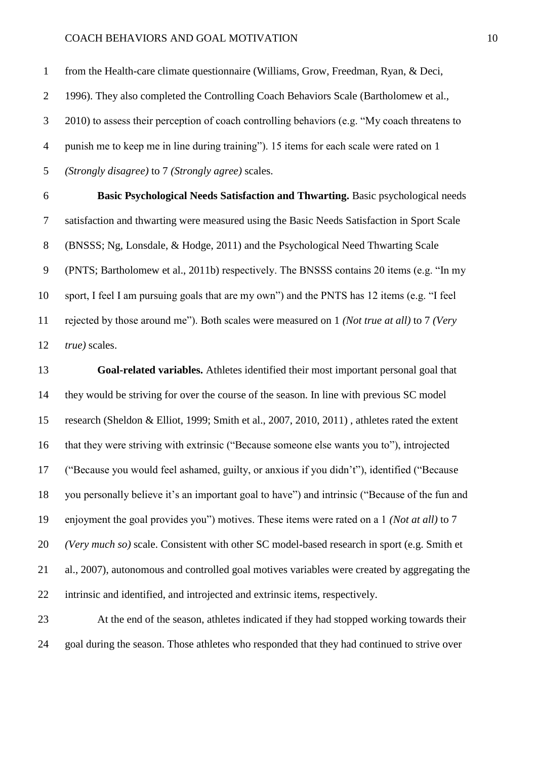from the Health-care climate questionnaire (Williams, Grow, Freedman, Ryan, & Deci, 2 1996). They also completed the Controlling Coach Behaviors Scale (Bartholomew et al., 2010) to assess their perception of coach controlling behaviors (e.g. "My coach threatens to punish me to keep me in line during training"). 15 items for each scale were rated on 1 *(Strongly disagree)* to 7 *(Strongly agree)* scales.

 **Basic Psychological Needs Satisfaction and Thwarting.** Basic psychological needs satisfaction and thwarting were measured using the Basic Needs Satisfaction in Sport Scale (BNSSS; Ng, Lonsdale, & Hodge, 2011) and the Psychological Need Thwarting Scale (PNTS; Bartholomew et al., 2011b) respectively. The BNSSS contains 20 items (e.g. "In my sport, I feel I am pursuing goals that are my own") and the PNTS has 12 items (e.g. "I feel rejected by those around me"). Both scales were measured on 1 *(Not true at all)* to 7 *(Very true)* scales.

 **Goal-related variables.** Athletes identified their most important personal goal that they would be striving for over the course of the season. In line with previous SC model research (Sheldon & Elliot, 1999; Smith et al., 2007, 2010, 2011) , athletes rated the extent that they were striving with extrinsic ("Because someone else wants you to"), introjected ("Because you would feel ashamed, guilty, or anxious if you didn't"), identified ("Because you personally believe it's an important goal to have") and intrinsic ("Because of the fun and enjoyment the goal provides you") motives. These items were rated on a 1 *(Not at all)* to 7 *(Very much so)* scale. Consistent with other SC model-based research in sport (e.g. Smith et al., 2007), autonomous and controlled goal motives variables were created by aggregating the intrinsic and identified, and introjected and extrinsic items, respectively.

 At the end of the season, athletes indicated if they had stopped working towards their goal during the season. Those athletes who responded that they had continued to strive over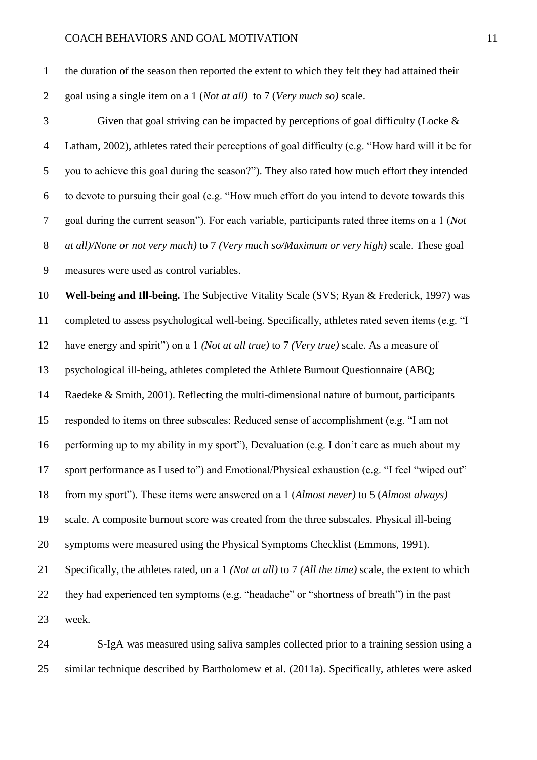goal using a single item on a 1 (*Not at all)* to 7 (*Very much so)* scale. Given that goal striving can be impacted by perceptions of goal difficulty (Locke & Latham, 2002), athletes rated their perceptions of goal difficulty (e.g. "How hard will it be for you to achieve this goal during the season?"). They also rated how much effort they intended to devote to pursuing their goal (e.g. "How much effort do you intend to devote towards this goal during the current season"). For each variable, participants rated three items on a 1 (*Not at all)/None or not very much)* to 7 *(Very much so/Maximum or very high)* scale. These goal measures were used as control variables. **Well-being and Ill-being.** The Subjective Vitality Scale (SVS; Ryan & Frederick, 1997) was completed to assess psychological well-being. Specifically, athletes rated seven items (e.g. "I have energy and spirit") on a 1 *(Not at all true)* to 7 *(Very true)* scale. As a measure of psychological ill-being, athletes completed the Athlete Burnout Questionnaire (ABQ; 14 Raedeke & Smith, 2001). Reflecting the multi-dimensional nature of burnout, participants responded to items on three subscales: Reduced sense of accomplishment (e.g. "I am not performing up to my ability in my sport"), Devaluation (e.g. I don't care as much about my sport performance as I used to") and Emotional/Physical exhaustion (e.g. "I feel "wiped out" from my sport"). These items were answered on a 1 (*Almost never)* to 5 (*Almost always)* scale. A composite burnout score was created from the three subscales. Physical ill-being symptoms were measured using the Physical Symptoms Checklist (Emmons, 1991).

the duration of the season then reported the extent to which they felt they had attained their

 Specifically, the athletes rated, on a 1 *(Not at all)* to 7 *(All the time)* scale, the extent to which they had experienced ten symptoms (e.g. "headache" or "shortness of breath") in the past week.

 S-IgA was measured using saliva samples collected prior to a training session using a similar technique described by Bartholomew et al. (2011a). Specifically, athletes were asked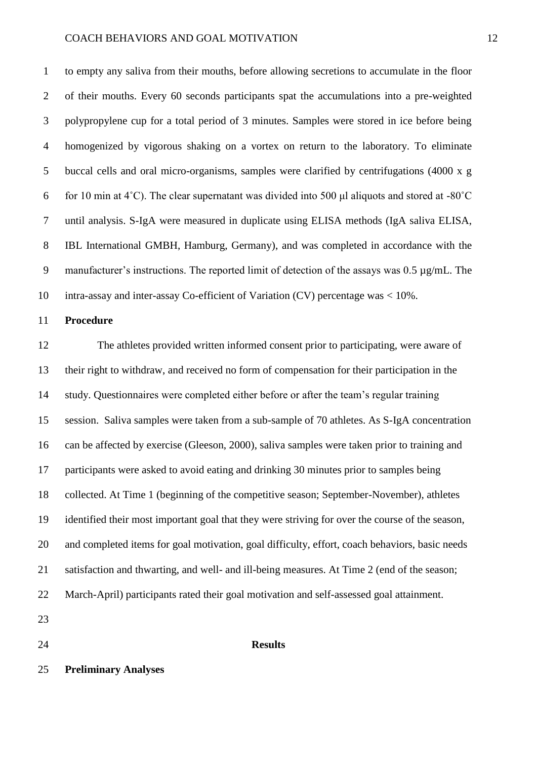to empty any saliva from their mouths, before allowing secretions to accumulate in the floor of their mouths. Every 60 seconds participants spat the accumulations into a pre-weighted polypropylene cup for a total period of 3 minutes. Samples were stored in ice before being homogenized by vigorous shaking on a vortex on return to the laboratory. To eliminate buccal cells and oral micro-organisms, samples were clarified by centrifugations (4000 x g 6 for 10 min at 4°C). The clear supernatant was divided into 500  $\mu$ l aliquots and stored at -80°C until analysis. S-IgA were measured in duplicate using ELISA methods (IgA saliva ELISA, IBL International GMBH, Hamburg, Germany), and was completed in accordance with the 9 manufacturer's instructions. The reported limit of detection of the assays was 0.5  $\mu$ g/mL. The intra-assay and inter-assay Co-efficient of Variation (CV) percentage was < 10%.

## **Procedure**

 The athletes provided written informed consent prior to participating, were aware of their right to withdraw, and received no form of compensation for their participation in the study. Questionnaires were completed either before or after the team's regular training session. Saliva samples were taken from a sub-sample of 70 athletes. As S-IgA concentration can be affected by exercise (Gleeson, 2000), saliva samples were taken prior to training and participants were asked to avoid eating and drinking 30 minutes prior to samples being collected. At Time 1 (beginning of the competitive season; September-November), athletes identified their most important goal that they were striving for over the course of the season, and completed items for goal motivation, goal difficulty, effort, coach behaviors, basic needs satisfaction and thwarting, and well- and ill-being measures. At Time 2 (end of the season; March-April) participants rated their goal motivation and self-assessed goal attainment. 

#### **Results**

**Preliminary Analyses**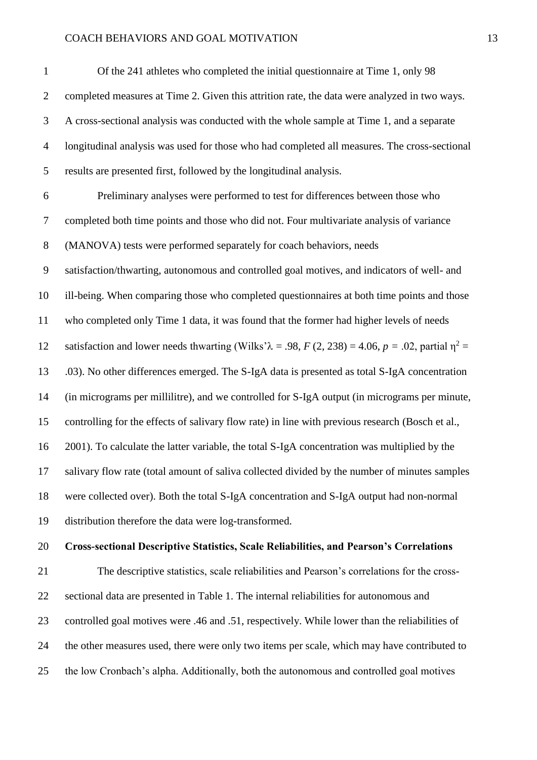| 1              | Of the 241 athletes who completed the initial questionnaire at Time 1, only 98                                 |
|----------------|----------------------------------------------------------------------------------------------------------------|
| $\overline{2}$ | completed measures at Time 2. Given this attrition rate, the data were analyzed in two ways.                   |
| 3              | A cross-sectional analysis was conducted with the whole sample at Time 1, and a separate                       |
| $\overline{4}$ | longitudinal analysis was used for those who had completed all measures. The cross-sectional                   |
| 5              | results are presented first, followed by the longitudinal analysis.                                            |
| 6              | Preliminary analyses were performed to test for differences between those who                                  |
| $\tau$         | completed both time points and those who did not. Four multivariate analysis of variance                       |
| $8\,$          | (MANOVA) tests were performed separately for coach behaviors, needs                                            |
| 9              | satisfaction/thwarting, autonomous and controlled goal motives, and indicators of well- and                    |
| 10             | ill-being. When comparing those who completed questionnaires at both time points and those                     |
| 11             | who completed only Time 1 data, it was found that the former had higher levels of needs                        |
| 12             | satisfaction and lower needs thwarting (Wilks' $\lambda$ = .98, F (2, 238) = 4.06, p = .02, partial $\eta^2$ = |
| 13             | .03). No other differences emerged. The S-IgA data is presented as total S-IgA concentration                   |
| 14             | (in micrograms per millilitre), and we controlled for S-IgA output (in micrograms per minute,                  |
| 15             | controlling for the effects of salivary flow rate) in line with previous research (Bosch et al.,               |
| 16             | 2001). To calculate the latter variable, the total S-IgA concentration was multiplied by the                   |
| 17             | salivary flow rate (total amount of saliva collected divided by the number of minutes samples                  |
| 18             | were collected over). Both the total S-IgA concentration and S-IgA output had non-normal                       |
| 19             | distribution therefore the data were log-transformed.                                                          |
| 20             | <b>Cross-sectional Descriptive Statistics, Scale Reliabilities, and Pearson's Correlations</b>                 |
| 21             | The descriptive statistics, scale reliabilities and Pearson's correlations for the cross-                      |

 sectional data are presented in Table 1. The internal reliabilities for autonomous and controlled goal motives were .46 and .51, respectively. While lower than the reliabilities of the other measures used, there were only two items per scale, which may have contributed to the low Cronbach's alpha. Additionally, both the autonomous and controlled goal motives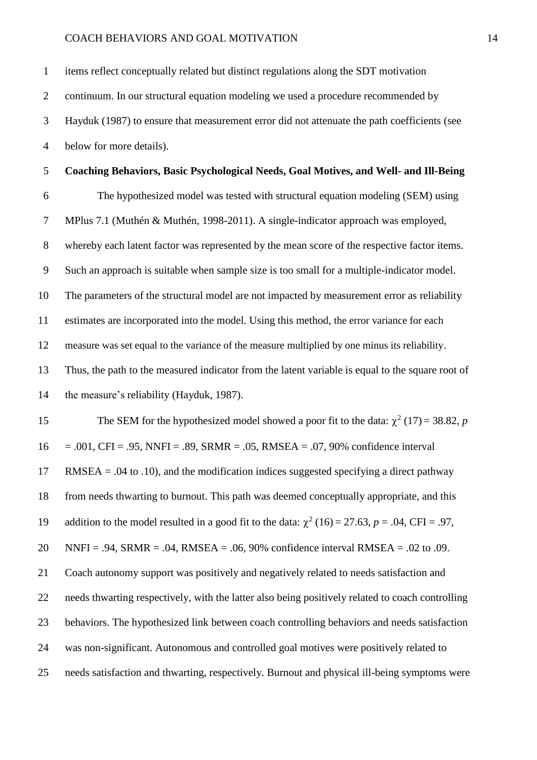## **Coaching Behaviors, Basic Psychological Needs, Goal Motives, and Well- and Ill-Being**

 The hypothesized model was tested with structural equation modeling (SEM) using MPlus 7.1 (Muthén & Muthén, 1998-2011). A single-indicator approach was employed, whereby each latent factor was represented by the mean score of the respective factor items. Such an approach is suitable when sample size is too small for a multiple-indicator model. The parameters of the structural model are not impacted by measurement error as reliability estimates are incorporated into the model. Using this method, the error variance for each measure was set equal to the variance of the measure multiplied by one minus its reliability. Thus, the path to the measured indicator from the latent variable is equal to the square root of the measure's reliability (Hayduk, 1987).

15 The SEM for the hypothesized model showed a poor fit to the data:  $\chi^2$  (17) = 38.82, *p*  $16 = .001$ , CFI = .95, NNFI = .89, SRMR = .05, RMSEA = .07, 90% confidence interval RMSEA = .04 to .10), and the modification indices suggested specifying a direct pathway from needs thwarting to burnout. This path was deemed conceptually appropriate, and this 19 addition to the model resulted in a good fit to the data:  $\chi^2$  (16) = 27.63, *p* = .04, CFI = .97, 20 NNFI = .94, SRMR = .04, RMSEA = .06, 90% confidence interval RMSEA = .02 to .09. Coach autonomy support was positively and negatively related to needs satisfaction and needs thwarting respectively, with the latter also being positively related to coach controlling behaviors. The hypothesized link between coach controlling behaviors and needs satisfaction was non-significant. Autonomous and controlled goal motives were positively related to needs satisfaction and thwarting, respectively. Burnout and physical ill-being symptoms were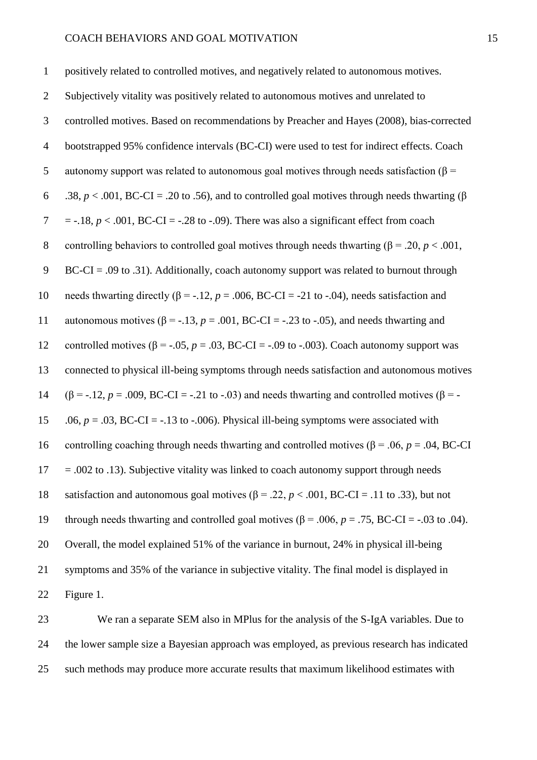| $\mathbf{1}$   | positively related to controlled motives, and negatively related to autonomous motives.                         |
|----------------|-----------------------------------------------------------------------------------------------------------------|
| $\overline{2}$ | Subjectively vitality was positively related to autonomous motives and unrelated to                             |
| 3              | controlled motives. Based on recommendations by Preacher and Hayes (2008), bias-corrected                       |
| $\overline{4}$ | bootstrapped 95% confidence intervals (BC-CI) were used to test for indirect effects. Coach                     |
| 5              | autonomy support was related to autonomous goal motives through needs satisfaction ( $\beta$ =                  |
| 6              | .38, $p < .001$ , BC-CI = .20 to .56), and to controlled goal motives through needs thwarting ( $\beta$ )       |
| $\tau$         | = -.18, $p < .001$ , BC-CI = -.28 to -.09). There was also a significant effect from coach                      |
| $8\,$          | controlling behaviors to controlled goal motives through needs thwarting ( $\beta$ = .20, $p$ < .001,           |
| 9              | $BC-CI = .09$ to .31). Additionally, coach autonomy support was related to burnout through                      |
| 10             | needs thwarting directly ( $\beta$ = -.12, $p$ = .006, BC-CI = -21 to -.04), needs satisfaction and             |
| 11             | autonomous motives ( $\beta$ = -.13, $p$ = .001, BC-CI = -.23 to -.05), and needs thwarting and                 |
| 12             | controlled motives ( $\beta$ = -.05, $p = .03$ , BC-CI = -.09 to -.003). Coach autonomy support was             |
| 13             | connected to physical ill-being symptoms through needs satisfaction and autonomous motives                      |
| 14             | $(\beta = -12, p = .009, BC-CI = -.21$ to $-.03$ ) and needs thwarting and controlled motives ( $\beta = -12$ ) |
| 15             | .06, $p = .03$ , BC-CI = -.13 to -.006). Physical ill-being symptoms were associated with                       |
| 16             | controlling coaching through needs thwarting and controlled motives ( $\beta$ = .06, $p$ = .04, BC-CI           |
| 17             | $= .002$ to .13). Subjective vitality was linked to coach autonomy support through needs                        |
| 18             | satisfaction and autonomous goal motives ( $\beta$ = .22, p < .001, BC-CI = .11 to .33), but not                |
| 19             | through needs thwarting and controlled goal motives ( $\beta$ = .006, $p$ = .75, BC-CI = -.03 to .04).          |
| 20             | Overall, the model explained 51% of the variance in burnout, 24% in physical ill-being                          |
| 21             | symptoms and 35% of the variance in subjective vitality. The final model is displayed in                        |
| 22             | Figure 1.                                                                                                       |

 We ran a separate SEM also in MPlus for the analysis of the S-IgA variables. Due to the lower sample size a Bayesian approach was employed, as previous research has indicated such methods may produce more accurate results that maximum likelihood estimates with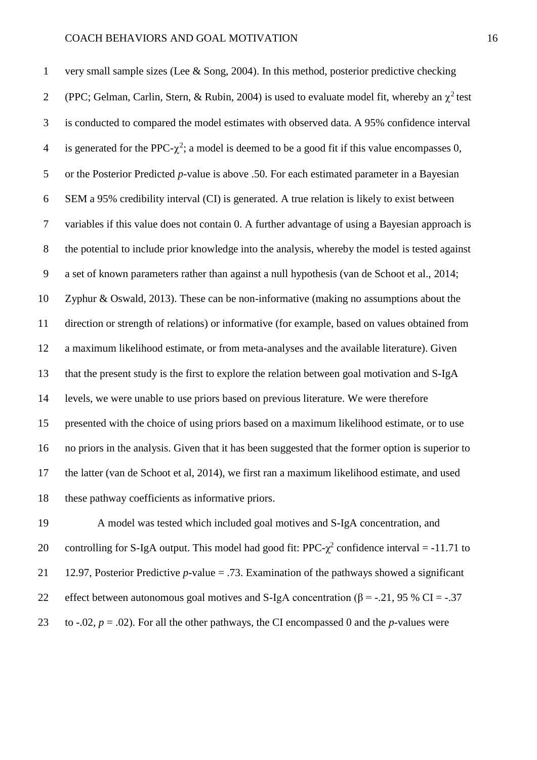very small sample sizes (Lee & Song, 2004). In this method, posterior predictive checking 2 (PPC; Gelman, Carlin, Stern, & Rubin, 2004) is used to evaluate model fit, whereby an  $\chi^2$  test is conducted to compared the model estimates with observed data. A 95% confidence interval 4 is generated for the PPC- $\chi^2$ ; a model is deemed to be a good fit if this value encompasses 0, or the Posterior Predicted *p-*value is above .50. For each estimated parameter in a Bayesian SEM a 95% credibility interval (CI) is generated. A true relation is likely to exist between variables if this value does not contain 0. A further advantage of using a Bayesian approach is the potential to include prior knowledge into the analysis, whereby the model is tested against a set of known parameters rather than against a null hypothesis (van de Schoot et al., 2014; Zyphur & Oswald, 2013). These can be non-informative (making no assumptions about the direction or strength of relations) or informative (for example, based on values obtained from a maximum likelihood estimate, or from meta-analyses and the available literature). Given that the present study is the first to explore the relation between goal motivation and S-IgA levels, we were unable to use priors based on previous literature. We were therefore presented with the choice of using priors based on a maximum likelihood estimate, or to use no priors in the analysis. Given that it has been suggested that the former option is superior to the latter (van de Schoot et al, 2014), we first ran a maximum likelihood estimate, and used these pathway coefficients as informative priors.

 A model was tested which included goal motives and S-IgA concentration, and 20 controlling for S-IgA output. This model had good fit: PPC- $\chi^2$  confidence interval = -11.71 to 12.97, Posterior Predictive *p*-value = .73. Examination of the pathways showed a significant 22 effect between autonomous goal motives and S-IgA concentration ( $\beta$  = -.21, 95 % CI = -.37 23 to  $-0.02$ ,  $p = 0.02$ ). For all the other pathways, the CI encompassed 0 and the *p*-values were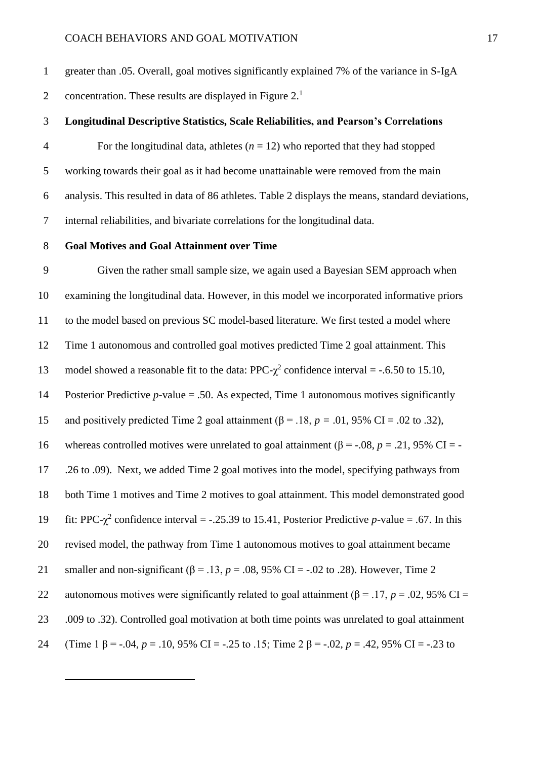greater than .05. Overall, goal motives significantly explained 7% of the variance in S-IgA

concentration. These results are displayed in Figure  $2<sup>1</sup>$ 

## **Longitudinal Descriptive Statistics, Scale Reliabilities, and Pearson's Correlations**

4 For the longitudinal data, athletes  $(n = 12)$  who reported that they had stopped working towards their goal as it had become unattainable were removed from the main analysis. This resulted in data of 86 athletes. Table 2 displays the means, standard deviations, internal reliabilities, and bivariate correlations for the longitudinal data.

## **Goal Motives and Goal Attainment over Time**

 Given the rather small sample size, we again used a Bayesian SEM approach when examining the longitudinal data. However, in this model we incorporated informative priors to the model based on previous SC model-based literature. We first tested a model where Time 1 autonomous and controlled goal motives predicted Time 2 goal attainment. This 13 model showed a reasonable fit to the data:  $PPC-\chi^2$  confidence interval = -.6.50 to 15.10, Posterior Predictive *p*-value = .50. As expected, Time 1 autonomous motives significantly and positively predicted Time 2 goal attainment (β = .18, *p =* .01, 95% CI = .02 to .32), 16 whereas controlled motives were unrelated to goal attainment  $(\beta = -0.08, p = .21, 95\% \text{ CI} = -1.02)$  .26 to .09). Next, we added Time 2 goal motives into the model, specifying pathways from both Time 1 motives and Time 2 motives to goal attainment. This model demonstrated good 19 fit: PPC- $χ²$  confidence interval = -.25.39 to 15.41, Posterior Predictive *p*-value = .67. In this revised model, the pathway from Time 1 autonomous motives to goal attainment became 21 smaller and non-significant  $(\beta = .13, p = .08, 95\% \text{ CI} = -.02 \text{ to } .28)$ . However, Time 2 22 autonomous motives were significantly related to goal attainment (β = .17, *p* = .02, 95% CI = .009 to .32). Controlled goal motivation at both time points was unrelated to goal attainment (Time 1 β = -.04, *p* = .10, 95% CI = -.25 to .15; Time 2 β = -.02, *p* = .42, 95% CI = -.23 to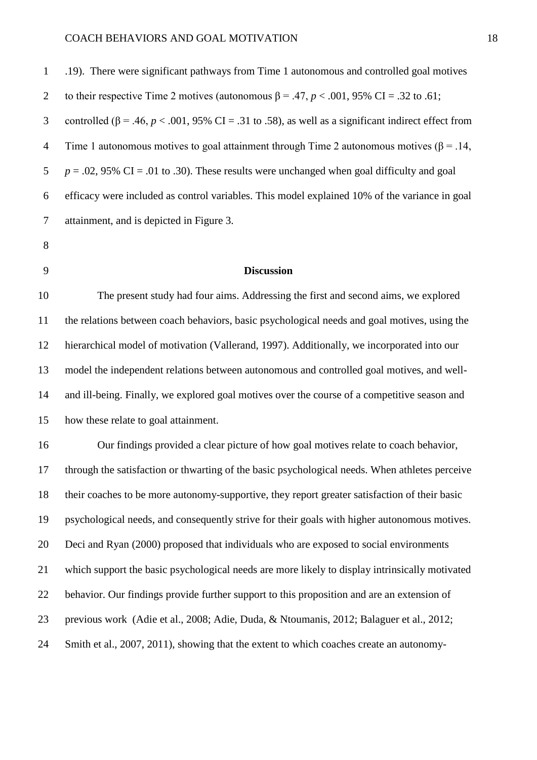.19). There were significant pathways from Time 1 autonomous and controlled goal motives 2 to their respective Time 2 motives (autonomous  $\beta = .47$ ,  $p < .001$ , 95% CI = .32 to .61; 3 controlled ( $\beta$  = .46,  $p < .001$ , 95% CI = .31 to .58), as well as a significant indirect effect from 4 Time 1 autonomous motives to goal attainment through Time 2 autonomous motives ( $\beta$  = .14, *p* = .02, 95% CI = .01 to .30). These results were unchanged when goal difficulty and goal efficacy were included as control variables. This model explained 10% of the variance in goal attainment, and is depicted in Figure 3.

- 
- 

#### **Discussion**

 The present study had four aims. Addressing the first and second aims, we explored the relations between coach behaviors, basic psychological needs and goal motives, using the hierarchical model of motivation (Vallerand, 1997). Additionally, we incorporated into our model the independent relations between autonomous and controlled goal motives, and well- and ill-being. Finally, we explored goal motives over the course of a competitive season and how these relate to goal attainment.

 Our findings provided a clear picture of how goal motives relate to coach behavior, through the satisfaction or thwarting of the basic psychological needs. When athletes perceive their coaches to be more autonomy-supportive, they report greater satisfaction of their basic psychological needs, and consequently strive for their goals with higher autonomous motives. Deci and Ryan (2000) proposed that individuals who are exposed to social environments which support the basic psychological needs are more likely to display intrinsically motivated behavior. Our findings provide further support to this proposition and are an extension of previous work (Adie et al., 2008; Adie, Duda, & Ntoumanis, 2012; Balaguer et al., 2012; Smith et al., 2007, 2011), showing that the extent to which coaches create an autonomy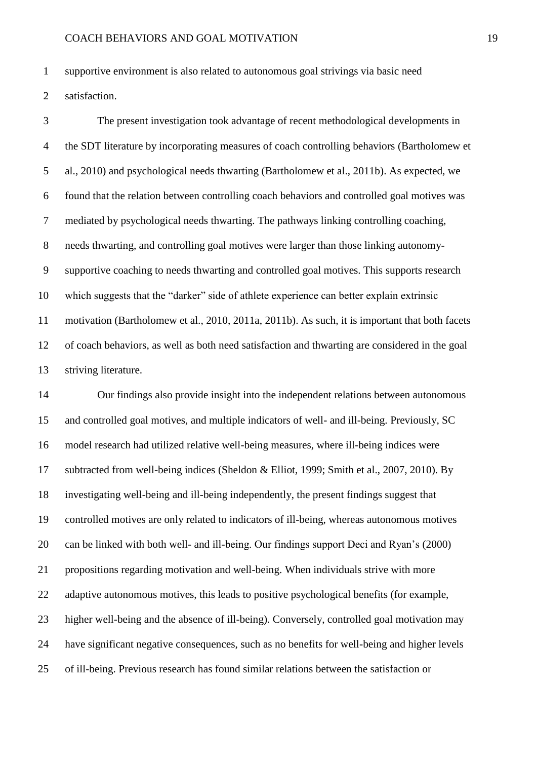supportive environment is also related to autonomous goal strivings via basic need satisfaction.

 The present investigation took advantage of recent methodological developments in the SDT literature by incorporating measures of coach controlling behaviors (Bartholomew et al., 2010) and psychological needs thwarting (Bartholomew et al., 2011b). As expected, we found that the relation between controlling coach behaviors and controlled goal motives was mediated by psychological needs thwarting. The pathways linking controlling coaching, needs thwarting, and controlling goal motives were larger than those linking autonomy- supportive coaching to needs thwarting and controlled goal motives. This supports research which suggests that the "darker" side of athlete experience can better explain extrinsic motivation (Bartholomew et al., 2010, 2011a, 2011b). As such, it is important that both facets of coach behaviors, as well as both need satisfaction and thwarting are considered in the goal striving literature.

 Our findings also provide insight into the independent relations between autonomous and controlled goal motives, and multiple indicators of well- and ill-being. Previously, SC model research had utilized relative well-being measures, where ill-being indices were subtracted from well-being indices (Sheldon & Elliot, 1999; Smith et al., 2007, 2010). By investigating well-being and ill-being independently, the present findings suggest that controlled motives are only related to indicators of ill-being, whereas autonomous motives can be linked with both well- and ill-being. Our findings support Deci and Ryan's (2000) propositions regarding motivation and well-being. When individuals strive with more 22 adaptive autonomous motives, this leads to positive psychological benefits (for example, higher well-being and the absence of ill-being). Conversely, controlled goal motivation may have significant negative consequences, such as no benefits for well-being and higher levels of ill-being. Previous research has found similar relations between the satisfaction or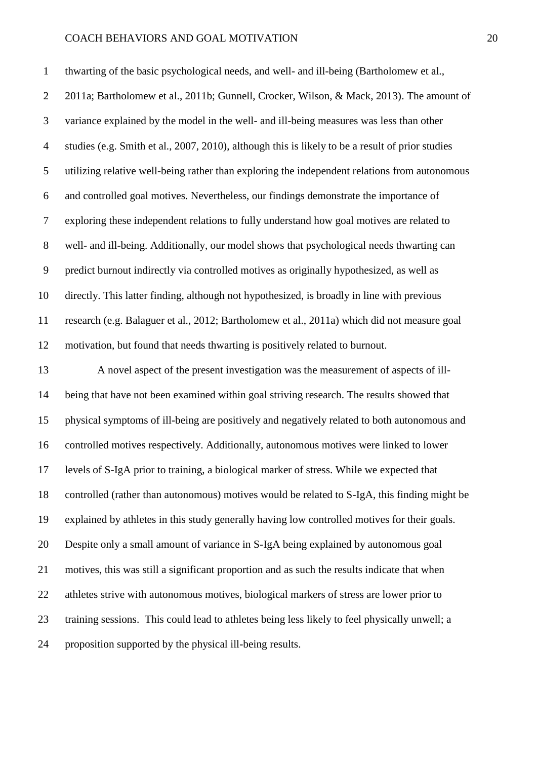thwarting of the basic psychological needs, and well- and ill-being (Bartholomew et al., 2011a; Bartholomew et al., 2011b; Gunnell, Crocker, Wilson, & Mack, 2013). The amount of variance explained by the model in the well- and ill-being measures was less than other studies (e.g. Smith et al., 2007, 2010), although this is likely to be a result of prior studies utilizing relative well-being rather than exploring the independent relations from autonomous and controlled goal motives. Nevertheless, our findings demonstrate the importance of exploring these independent relations to fully understand how goal motives are related to well- and ill-being. Additionally, our model shows that psychological needs thwarting can predict burnout indirectly via controlled motives as originally hypothesized, as well as directly. This latter finding, although not hypothesized, is broadly in line with previous research (e.g. Balaguer et al., 2012; Bartholomew et al., 2011a) which did not measure goal motivation, but found that needs thwarting is positively related to burnout.

 A novel aspect of the present investigation was the measurement of aspects of ill- being that have not been examined within goal striving research. The results showed that physical symptoms of ill-being are positively and negatively related to both autonomous and controlled motives respectively. Additionally, autonomous motives were linked to lower levels of S-IgA prior to training, a biological marker of stress. While we expected that controlled (rather than autonomous) motives would be related to S-IgA, this finding might be explained by athletes in this study generally having low controlled motives for their goals. Despite only a small amount of variance in S-IgA being explained by autonomous goal motives, this was still a significant proportion and as such the results indicate that when athletes strive with autonomous motives, biological markers of stress are lower prior to training sessions. This could lead to athletes being less likely to feel physically unwell; a proposition supported by the physical ill-being results.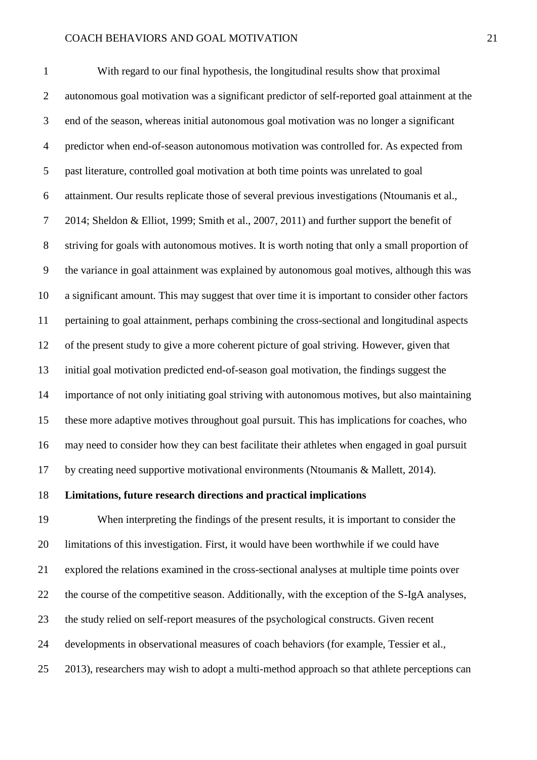With regard to our final hypothesis, the longitudinal results show that proximal autonomous goal motivation was a significant predictor of self-reported goal attainment at the end of the season, whereas initial autonomous goal motivation was no longer a significant predictor when end-of-season autonomous motivation was controlled for. As expected from past literature, controlled goal motivation at both time points was unrelated to goal attainment. Our results replicate those of several previous investigations (Ntoumanis et al., 2014; Sheldon & Elliot, 1999; Smith et al., 2007, 2011) and further support the benefit of striving for goals with autonomous motives. It is worth noting that only a small proportion of the variance in goal attainment was explained by autonomous goal motives, although this was a significant amount. This may suggest that over time it is important to consider other factors pertaining to goal attainment, perhaps combining the cross-sectional and longitudinal aspects of the present study to give a more coherent picture of goal striving. However, given that initial goal motivation predicted end-of-season goal motivation, the findings suggest the importance of not only initiating goal striving with autonomous motives, but also maintaining these more adaptive motives throughout goal pursuit. This has implications for coaches, who may need to consider how they can best facilitate their athletes when engaged in goal pursuit by creating need supportive motivational environments (Ntoumanis & Mallett, 2014).

## **Limitations, future research directions and practical implications**

 When interpreting the findings of the present results, it is important to consider the limitations of this investigation. First, it would have been worthwhile if we could have explored the relations examined in the cross-sectional analyses at multiple time points over the course of the competitive season. Additionally, with the exception of the S-IgA analyses, the study relied on self-report measures of the psychological constructs. Given recent developments in observational measures of coach behaviors (for example, Tessier et al., 25 2013), researchers may wish to adopt a multi-method approach so that athlete perceptions can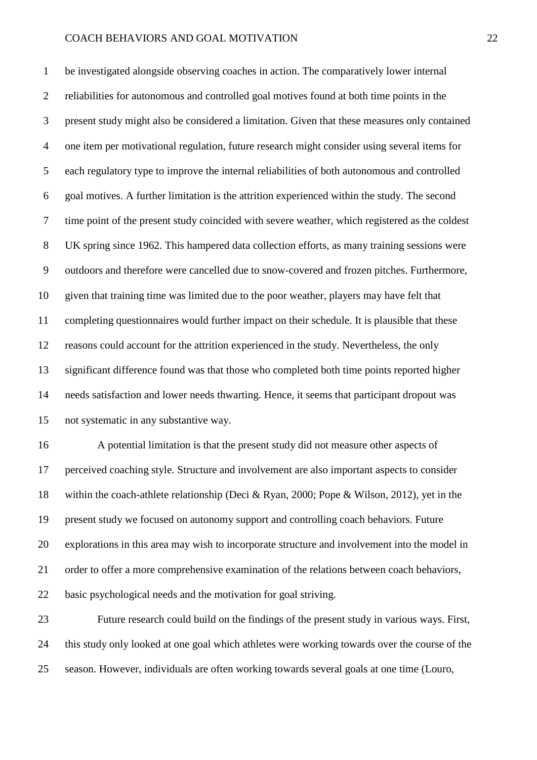be investigated alongside observing coaches in action. The comparatively lower internal reliabilities for autonomous and controlled goal motives found at both time points in the present study might also be considered a limitation. Given that these measures only contained one item per motivational regulation, future research might consider using several items for each regulatory type to improve the internal reliabilities of both autonomous and controlled goal motives. A further limitation is the attrition experienced within the study. The second time point of the present study coincided with severe weather, which registered as the coldest UK spring since 1962. This hampered data collection efforts, as many training sessions were outdoors and therefore were cancelled due to snow-covered and frozen pitches. Furthermore, given that training time was limited due to the poor weather, players may have felt that completing questionnaires would further impact on their schedule. It is plausible that these reasons could account for the attrition experienced in the study. Nevertheless, the only significant difference found was that those who completed both time points reported higher needs satisfaction and lower needs thwarting. Hence, it seems that participant dropout was not systematic in any substantive way.

 A potential limitation is that the present study did not measure other aspects of perceived coaching style. Structure and involvement are also important aspects to consider within the coach-athlete relationship (Deci & Ryan, 2000; Pope & Wilson, 2012), yet in the present study we focused on autonomy support and controlling coach behaviors. Future explorations in this area may wish to incorporate structure and involvement into the model in order to offer a more comprehensive examination of the relations between coach behaviors, basic psychological needs and the motivation for goal striving.

 Future research could build on the findings of the present study in various ways. First, this study only looked at one goal which athletes were working towards over the course of the season. However, individuals are often working towards several goals at one time (Louro,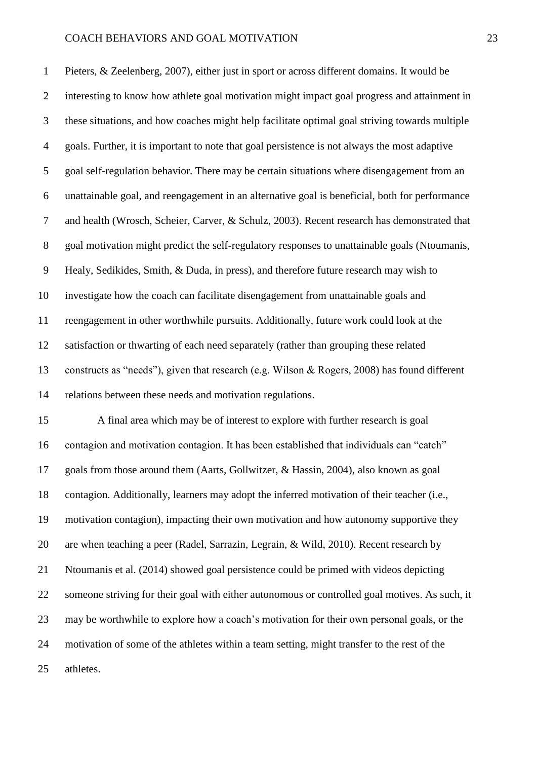Pieters, & Zeelenberg, 2007), either just in sport or across different domains. It would be interesting to know how athlete goal motivation might impact goal progress and attainment in these situations, and how coaches might help facilitate optimal goal striving towards multiple goals. Further, it is important to note that goal persistence is not always the most adaptive goal self-regulation behavior. There may be certain situations where disengagement from an unattainable goal, and reengagement in an alternative goal is beneficial, both for performance and health (Wrosch, Scheier, Carver, & Schulz, 2003). Recent research has demonstrated that goal motivation might predict the self-regulatory responses to unattainable goals (Ntoumanis, Healy, Sedikides, Smith, & Duda, in press), and therefore future research may wish to investigate how the coach can facilitate disengagement from unattainable goals and reengagement in other worthwhile pursuits. Additionally, future work could look at the satisfaction or thwarting of each need separately (rather than grouping these related constructs as "needs"), given that research (e.g. Wilson & Rogers, 2008) has found different relations between these needs and motivation regulations.

 A final area which may be of interest to explore with further research is goal contagion and motivation contagion. It has been established that individuals can "catch" goals from those around them (Aarts, Gollwitzer, & Hassin, 2004), also known as goal contagion. Additionally, learners may adopt the inferred motivation of their teacher (i.e., motivation contagion), impacting their own motivation and how autonomy supportive they are when teaching a peer (Radel, Sarrazin, Legrain, & Wild, 2010). Recent research by Ntoumanis et al. (2014) showed goal persistence could be primed with videos depicting someone striving for their goal with either autonomous or controlled goal motives. As such, it may be worthwhile to explore how a coach's motivation for their own personal goals, or the motivation of some of the athletes within a team setting, might transfer to the rest of the athletes.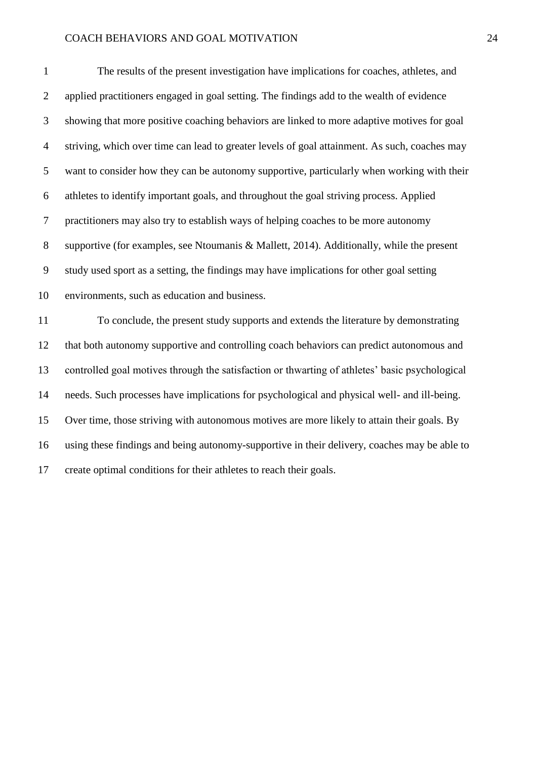| $\mathbf{1}$   | The results of the present investigation have implications for coaches, athletes, and          |
|----------------|------------------------------------------------------------------------------------------------|
| 2              | applied practitioners engaged in goal setting. The findings add to the wealth of evidence      |
| 3              | showing that more positive coaching behaviors are linked to more adaptive motives for goal     |
| $\overline{4}$ | striving, which over time can lead to greater levels of goal attainment. As such, coaches may  |
| 5              | want to consider how they can be autonomy supportive, particularly when working with their     |
| 6              | athletes to identify important goals, and throughout the goal striving process. Applied        |
| 7              | practitioners may also try to establish ways of helping coaches to be more autonomy            |
| 8              | supportive (for examples, see Ntoumanis & Mallett, 2014). Additionally, while the present      |
| 9              | study used sport as a setting, the findings may have implications for other goal setting       |
| 10             | environments, such as education and business.                                                  |
| 11             | To conclude, the present study supports and extends the literature by demonstrating            |
| 12             | that both autonomy supportive and controlling coach behaviors can predict autonomous and       |
| 13             | controlled goal motives through the satisfaction or thwarting of athletes' basic psychological |

needs. Such processes have implications for psychological and physical well- and ill-being.

Over time, those striving with autonomous motives are more likely to attain their goals. By

 using these findings and being autonomy-supportive in their delivery, coaches may be able to create optimal conditions for their athletes to reach their goals.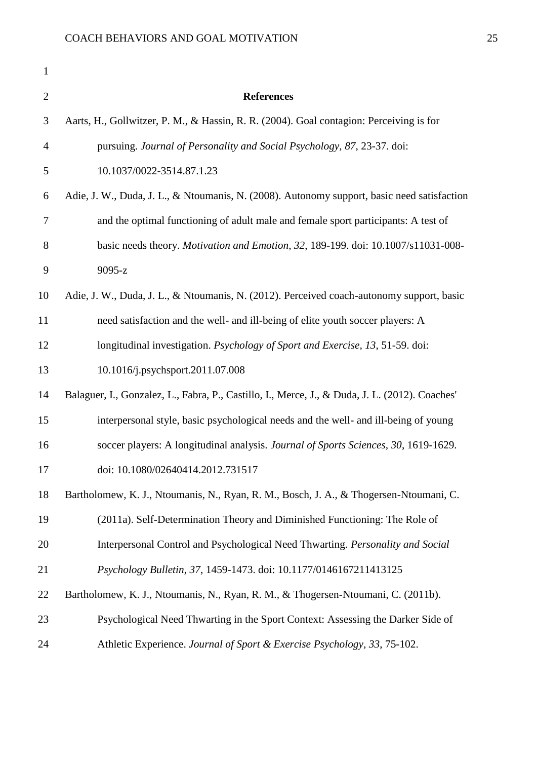| $\mathbf{1}$   |                                                                                                |
|----------------|------------------------------------------------------------------------------------------------|
| $\overline{2}$ | <b>References</b>                                                                              |
| 3              | Aarts, H., Gollwitzer, P. M., & Hassin, R. R. (2004). Goal contagion: Perceiving is for        |
| $\overline{4}$ | pursuing. Journal of Personality and Social Psychology, 87, 23-37. doi:                        |
| 5              | 10.1037/0022-3514.87.1.23                                                                      |
| 6              | Adie, J. W., Duda, J. L., & Ntoumanis, N. (2008). Autonomy support, basic need satisfaction    |
| 7              | and the optimal functioning of adult male and female sport participants: A test of             |
| 8              | basic needs theory. Motivation and Emotion, 32, 189-199. doi: 10.1007/s11031-008-              |
| 9              | 9095-z                                                                                         |
| 10             | Adie, J. W., Duda, J. L., & Ntoumanis, N. (2012). Perceived coach-autonomy support, basic      |
| 11             | need satisfaction and the well- and ill-being of elite youth soccer players: A                 |
| 12             | longitudinal investigation. Psychology of Sport and Exercise, 13, 51-59. doi:                  |
| 13             | 10.1016/j.psychsport.2011.07.008                                                               |
| 14             | Balaguer, I., Gonzalez, L., Fabra, P., Castillo, I., Merce, J., & Duda, J. L. (2012). Coaches' |
| 15             | interpersonal style, basic psychological needs and the well- and ill-being of young            |
| 16             | soccer players: A longitudinal analysis. Journal of Sports Sciences, 30, 1619-1629.            |
| 17             | doi: 10.1080/02640414.2012.731517                                                              |
| 18             | Bartholomew, K. J., Ntoumanis, N., Ryan, R. M., Bosch, J. A., & Thogersen-Ntoumani, C.         |
| 19             | (2011a). Self-Determination Theory and Diminished Functioning: The Role of                     |
| 20             | Interpersonal Control and Psychological Need Thwarting. Personality and Social                 |
| 21             | Psychology Bulletin, 37, 1459-1473. doi: 10.1177/0146167211413125                              |
| 22             | Bartholomew, K. J., Ntoumanis, N., Ryan, R. M., & Thogersen-Ntoumani, C. (2011b).              |
| 23             | Psychological Need Thwarting in the Sport Context: Assessing the Darker Side of                |
| 24             | Athletic Experience. Journal of Sport & Exercise Psychology, 33, 75-102.                       |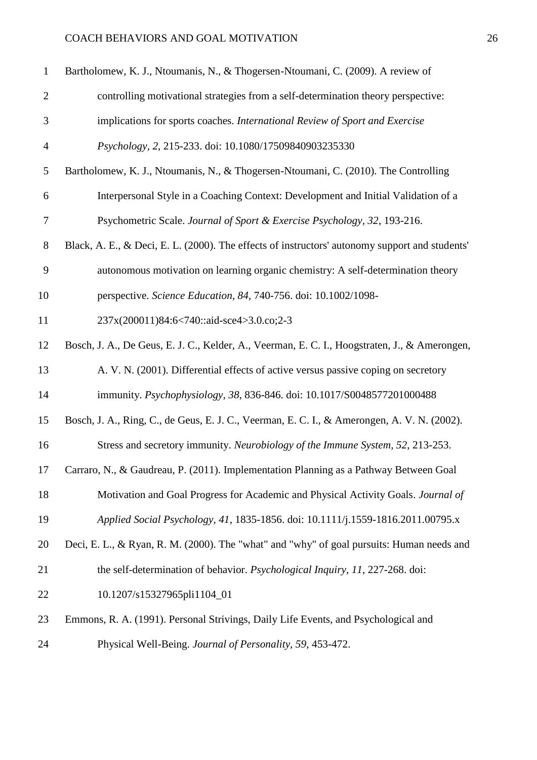| $\mathbf{1}$   | Bartholomew, K. J., Ntoumanis, N., & Thogersen-Ntoumani, C. (2009). A review of                |
|----------------|------------------------------------------------------------------------------------------------|
| $\overline{2}$ | controlling motivational strategies from a self-determination theory perspective:              |
| 3              | implications for sports coaches. International Review of Sport and Exercise                    |
| 4              | Psychology, 2, 215-233. doi: 10.1080/17509840903235330                                         |
| 5              | Bartholomew, K. J., Ntoumanis, N., & Thogersen-Ntoumani, C. (2010). The Controlling            |
| 6              | Interpersonal Style in a Coaching Context: Development and Initial Validation of a             |
| 7              | Psychometric Scale. Journal of Sport & Exercise Psychology, 32, 193-216.                       |
| $8\,$          | Black, A. E., & Deci, E. L. (2000). The effects of instructors' autonomy support and students' |
| 9              | autonomous motivation on learning organic chemistry: A self-determination theory               |
| 10             | perspective. Science Education, 84, 740-756. doi: 10.1002/1098-                                |
| 11             | 237x(200011)84:6<740::aid-sce4>3.0.co;2-3                                                      |
| 12             | Bosch, J. A., De Geus, E. J. C., Kelder, A., Veerman, E. C. I., Hoogstraten, J., & Amerongen,  |
| 13             | A. V. N. (2001). Differential effects of active versus passive coping on secretory             |
| 14             | immunity. Psychophysiology, 38, 836-846. doi: 10.1017/S0048577201000488                        |
| 15             | Bosch, J. A., Ring, C., de Geus, E. J. C., Veerman, E. C. I., & Amerongen, A. V. N. (2002).    |
| 16             | Stress and secretory immunity. Neurobiology of the Immune System, 52, 213-253.                 |
| 17             | Carraro, N., & Gaudreau, P. (2011). Implementation Planning as a Pathway Between Goal          |
| 18             | Motivation and Goal Progress for Academic and Physical Activity Goals. Journal of              |
| 19             | Applied Social Psychology, 41, 1835-1856. doi: 10.1111/j.1559-1816.2011.00795.x                |
| 20             | Deci, E. L., & Ryan, R. M. (2000). The "what" and "why" of goal pursuits: Human needs and      |
| 21             | the self-determination of behavior. <i>Psychological Inquiry</i> , 11, 227-268. doi:           |
| 22             | 10.1207/s15327965pli1104_01                                                                    |
| 23             | Emmons, R. A. (1991). Personal Strivings, Daily Life Events, and Psychological and             |
| 24             | Physical Well-Being. Journal of Personality, 59, 453-472.                                      |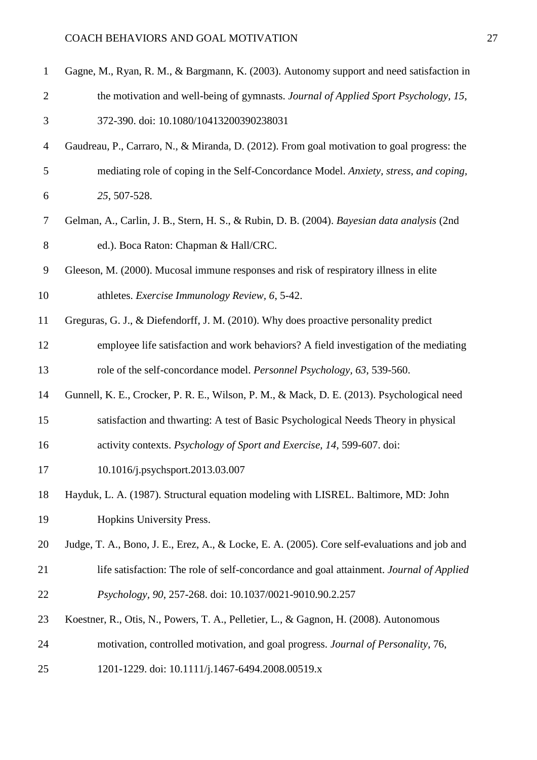| $\mathbf{1}$   | Gagne, M., Ryan, R. M., & Bargmann, K. (2003). Autonomy support and need satisfaction in      |
|----------------|-----------------------------------------------------------------------------------------------|
| $\overline{2}$ | the motivation and well-being of gymnasts. Journal of Applied Sport Psychology, 15,           |
| 3              | 372-390. doi: 10.1080/10413200390238031                                                       |
| $\overline{4}$ | Gaudreau, P., Carraro, N., & Miranda, D. (2012). From goal motivation to goal progress: the   |
| 5              | mediating role of coping in the Self-Concordance Model. Anxiety, stress, and coping,          |
| 6              | 25, 507-528.                                                                                  |
| $\tau$         | Gelman, A., Carlin, J. B., Stern, H. S., & Rubin, D. B. (2004). Bayesian data analysis (2nd   |
| 8              | ed.). Boca Raton: Chapman & Hall/CRC.                                                         |
| 9              | Gleeson, M. (2000). Mucosal immune responses and risk of respiratory illness in elite         |
| 10             | athletes. Exercise Immunology Review, 6, 5-42.                                                |
| 11             | Greguras, G. J., & Diefendorff, J. M. (2010). Why does proactive personality predict          |
| 12             | employee life satisfaction and work behaviors? A field investigation of the mediating         |
| 13             | role of the self-concordance model. Personnel Psychology, 63, 539-560.                        |
| 14             | Gunnell, K. E., Crocker, P. R. E., Wilson, P. M., & Mack, D. E. (2013). Psychological need    |
| 15             | satisfaction and thwarting: A test of Basic Psychological Needs Theory in physical            |
| 16             | activity contexts. Psychology of Sport and Exercise, 14, 599-607. doi:                        |
| 17             | 10.1016/j.psychsport.2013.03.007                                                              |
| 18             | Hayduk, L. A. (1987). Structural equation modeling with LISREL. Baltimore, MD: John           |
| 19             | Hopkins University Press.                                                                     |
| 20             | Judge, T. A., Bono, J. E., Erez, A., & Locke, E. A. (2005). Core self-evaluations and job and |
| 21             | life satisfaction: The role of self-concordance and goal attainment. Journal of Applied       |
| 22             | Psychology, 90, 257-268. doi: 10.1037/0021-9010.90.2.257                                      |
| 23             | Koestner, R., Otis, N., Powers, T. A., Pelletier, L., & Gagnon, H. (2008). Autonomous         |
| 24             | motivation, controlled motivation, and goal progress. Journal of Personality, 76,             |
| 25             | 1201-1229. doi: 10.1111/j.1467-6494.2008.00519.x                                              |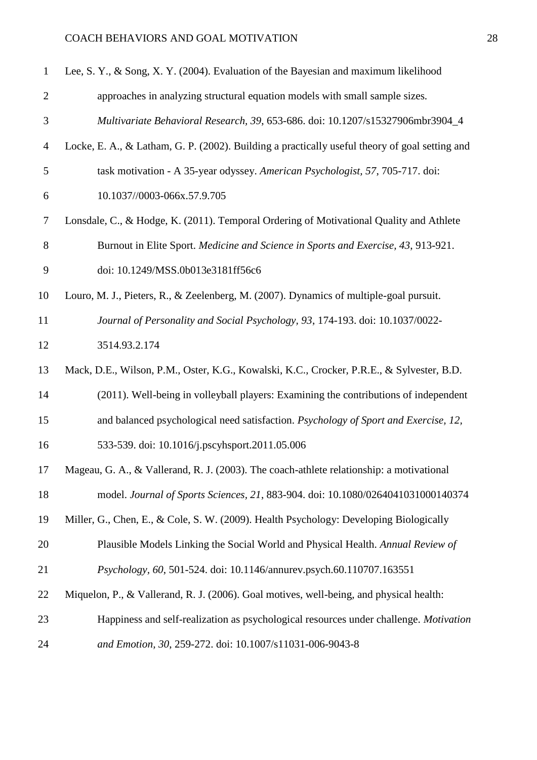| $\mathbf{1}$   | Lee, S. Y., & Song, X. Y. (2004). Evaluation of the Bayesian and maximum likelihood            |
|----------------|------------------------------------------------------------------------------------------------|
| $\overline{2}$ | approaches in analyzing structural equation models with small sample sizes.                    |
| 3              | Multivariate Behavioral Research, 39, 653-686. doi: 10.1207/s15327906mbr3904_4                 |
| $\overline{4}$ | Locke, E. A., & Latham, G. P. (2002). Building a practically useful theory of goal setting and |
| 5              | task motivation - A 35-year odyssey. American Psychologist, 57, 705-717. doi:                  |
| 6              | 10.1037//0003-066x.57.9.705                                                                    |
| $\tau$         | Lonsdale, C., & Hodge, K. (2011). Temporal Ordering of Motivational Quality and Athlete        |
| 8              | Burnout in Elite Sport. Medicine and Science in Sports and Exercise, 43, 913-921.              |
| $\mathbf{9}$   | doi: 10.1249/MSS.0b013e3181ff56c6                                                              |
| 10             | Louro, M. J., Pieters, R., & Zeelenberg, M. (2007). Dynamics of multiple-goal pursuit.         |
| 11             | Journal of Personality and Social Psychology, 93, 174-193. doi: 10.1037/0022-                  |
| 12             | 3514.93.2.174                                                                                  |
| 13             | Mack, D.E., Wilson, P.M., Oster, K.G., Kowalski, K.C., Crocker, P.R.E., & Sylvester, B.D.      |
| 14             | (2011). Well-being in volleyball players: Examining the contributions of independent           |
| 15             | and balanced psychological need satisfaction. Psychology of Sport and Exercise, 12,            |
| 16             | 533-539. doi: 10.1016/j.pscyhsport.2011.05.006                                                 |
| 17             | Mageau, G. A., & Vallerand, R. J. (2003). The coach-athlete relationship: a motivational       |
| 18             | model. Journal of Sports Sciences, 21, 883-904. doi: 10.1080/0264041031000140374               |
| 19             | Miller, G., Chen, E., & Cole, S. W. (2009). Health Psychology: Developing Biologically         |
| 20             | Plausible Models Linking the Social World and Physical Health. Annual Review of                |
| 21             | Psychology, 60, 501-524. doi: 10.1146/annurev.psych.60.110707.163551                           |
| 22             | Miquelon, P., & Vallerand, R. J. (2006). Goal motives, well-being, and physical health:        |
| 23             | Happiness and self-realization as psychological resources under challenge. Motivation          |
| 24             | and Emotion, 30, 259-272. doi: 10.1007/s11031-006-9043-8                                       |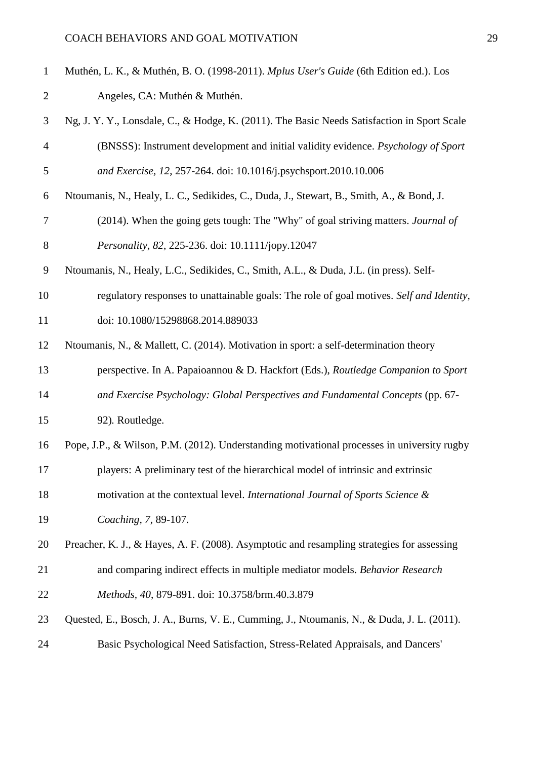| $\mathbf{1}$   | Muthén, L. K., & Muthén, B. O. (1998-2011). Mplus User's Guide (6th Edition ed.). Los       |
|----------------|---------------------------------------------------------------------------------------------|
| $\mathbf{2}$   | Angeles, CA: Muthén & Muthén.                                                               |
| 3              | Ng, J. Y. Y., Lonsdale, C., & Hodge, K. (2011). The Basic Needs Satisfaction in Sport Scale |
| $\overline{4}$ | (BNSSS): Instrument development and initial validity evidence. Psychology of Sport          |
| 5              | and Exercise, 12, 257-264. doi: 10.1016/j.psychsport.2010.10.006                            |
| 6              | Ntoumanis, N., Healy, L. C., Sedikides, C., Duda, J., Stewart, B., Smith, A., & Bond, J.    |
| 7              | (2014). When the going gets tough: The "Why" of goal striving matters. Journal of           |
| 8              | Personality, 82, 225-236. doi: 10.1111/jopy.12047                                           |
| 9              | Ntoumanis, N., Healy, L.C., Sedikides, C., Smith, A.L., & Duda, J.L. (in press). Self-      |
| 10             | regulatory responses to unattainable goals: The role of goal motives. Self and Identity,    |
| 11             | doi: 10.1080/15298868.2014.889033                                                           |
| 12             | Ntoumanis, N., & Mallett, C. (2014). Motivation in sport: a self-determination theory       |
| 13             | perspective. In A. Papaioannou & D. Hackfort (Eds.), Routledge Companion to Sport           |
| 14             | and Exercise Psychology: Global Perspectives and Fundamental Concepts (pp. 67-              |
| 15             | 92). Routledge.                                                                             |
| 16             | Pope, J.P., & Wilson, P.M. (2012). Understanding motivational processes in university rugby |
| 17             | players: A preliminary test of the hierarchical model of intrinsic and extrinsic            |
| 18             | motivation at the contextual level. International Journal of Sports Science &               |
| 19             | Coaching, 7, 89-107.                                                                        |
| 20             | Preacher, K. J., & Hayes, A. F. (2008). Asymptotic and resampling strategies for assessing  |
| 21             | and comparing indirect effects in multiple mediator models. Behavior Research               |
| 22             | Methods, 40, 879-891. doi: 10.3758/brm.40.3.879                                             |
| 23             | Quested, E., Bosch, J. A., Burns, V. E., Cumming, J., Ntoumanis, N., & Duda, J. L. (2011).  |
| 24             | Basic Psychological Need Satisfaction, Stress-Related Appraisals, and Dancers'              |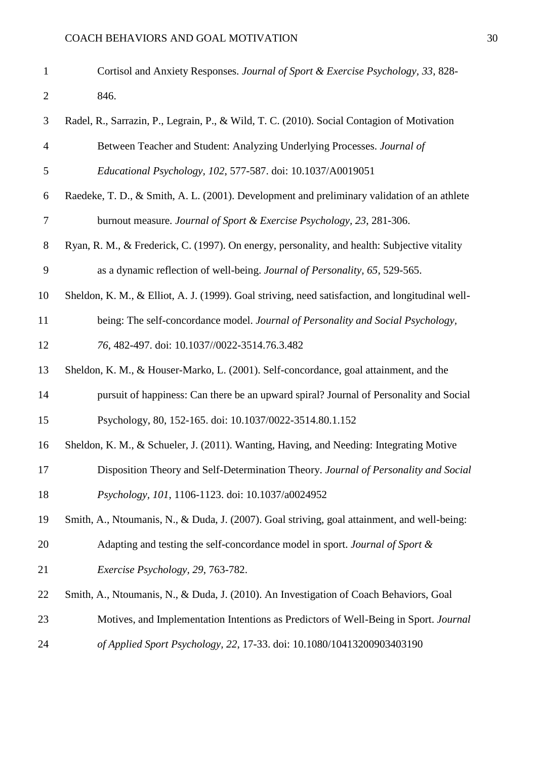| $\mathbf{1}$   | Cortisol and Anxiety Responses. Journal of Sport & Exercise Psychology, 33, 828-                 |
|----------------|--------------------------------------------------------------------------------------------------|
| $\overline{2}$ | 846.                                                                                             |
| 3              | Radel, R., Sarrazin, P., Legrain, P., & Wild, T. C. (2010). Social Contagion of Motivation       |
| $\overline{4}$ | Between Teacher and Student: Analyzing Underlying Processes. Journal of                          |
| 5              | Educational Psychology, 102, 577-587. doi: 10.1037/A0019051                                      |
| 6              | Raedeke, T. D., & Smith, A. L. (2001). Development and preliminary validation of an athlete      |
| 7              | burnout measure. Journal of Sport & Exercise Psychology, 23, 281-306.                            |
| 8              | Ryan, R. M., & Frederick, C. (1997). On energy, personality, and health: Subjective vitality     |
| 9              | as a dynamic reflection of well-being. Journal of Personality, 65, 529-565.                      |
| 10             | Sheldon, K. M., & Elliot, A. J. (1999). Goal striving, need satisfaction, and longitudinal well- |
| 11             | being: The self-concordance model. Journal of Personality and Social Psychology,                 |
| 12             | 76, 482-497. doi: 10.1037//0022-3514.76.3.482                                                    |
| 13             | Sheldon, K. M., & Houser-Marko, L. (2001). Self-concordance, goal attainment, and the            |
| 14             | pursuit of happiness: Can there be an upward spiral? Journal of Personality and Social           |
| 15             | Psychology, 80, 152-165. doi: 10.1037/0022-3514.80.1.152                                         |
| 16             | Sheldon, K. M., & Schueler, J. (2011). Wanting, Having, and Needing: Integrating Motive          |
| 17             | Disposition Theory and Self-Determination Theory. Journal of Personality and Social              |
| 18             | Psychology, 101, 1106-1123. doi: 10.1037/a0024952                                                |
| 19             | Smith, A., Ntoumanis, N., & Duda, J. (2007). Goal striving, goal attainment, and well-being:     |
| 20             | Adapting and testing the self-concordance model in sport. Journal of Sport &                     |
| 21             | Exercise Psychology, 29, 763-782.                                                                |
| 22             | Smith, A., Ntoumanis, N., & Duda, J. (2010). An Investigation of Coach Behaviors, Goal           |
| 23             | Motives, and Implementation Intentions as Predictors of Well-Being in Sport. Journal             |
| 24             | of Applied Sport Psychology, 22, 17-33. doi: 10.1080/10413200903403190                           |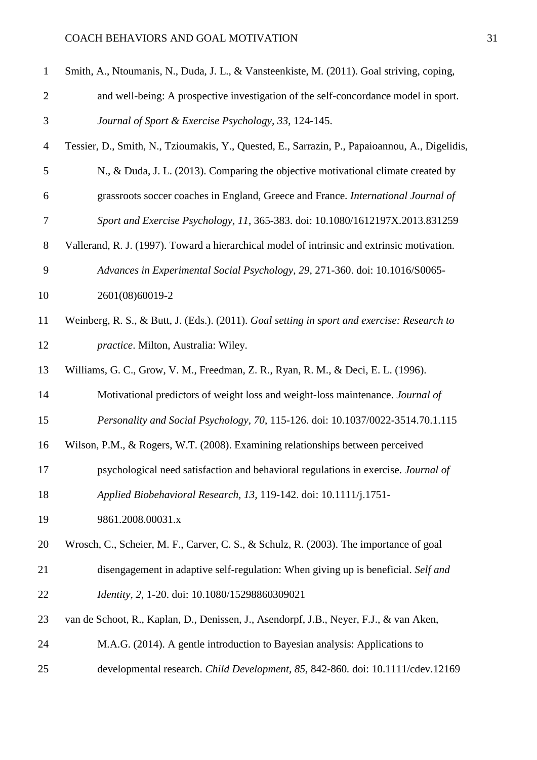| $\mathbf{1}$   | Smith, A., Ntoumanis, N., Duda, J. L., & Vansteenkiste, M. (2011). Goal striving, coping,      |
|----------------|------------------------------------------------------------------------------------------------|
| $\mathbf{2}$   | and well-being: A prospective investigation of the self-concordance model in sport.            |
| 3              | Journal of Sport & Exercise Psychology, 33, 124-145.                                           |
| $\overline{4}$ | Tessier, D., Smith, N., Tzioumakis, Y., Quested, E., Sarrazin, P., Papaioannou, A., Digelidis, |
| 5              | N., & Duda, J. L. (2013). Comparing the objective motivational climate created by              |
| 6              | grassroots soccer coaches in England, Greece and France. International Journal of              |
| $\tau$         | Sport and Exercise Psychology, 11, 365-383. doi: 10.1080/1612197X.2013.831259                  |
| $8\phantom{1}$ | Vallerand, R. J. (1997). Toward a hierarchical model of intrinsic and extrinsic motivation.    |
| 9              | Advances in Experimental Social Psychology, 29, 271-360. doi: 10.1016/S0065-                   |
| 10             | 2601(08)60019-2                                                                                |
| 11             | Weinberg, R. S., & Butt, J. (Eds.). (2011). Goal setting in sport and exercise: Research to    |
| 12             | <i>practice</i> . Milton, Australia: Wiley.                                                    |
| 13             | Williams, G. C., Grow, V. M., Freedman, Z. R., Ryan, R. M., & Deci, E. L. (1996).              |
| 14             | Motivational predictors of weight loss and weight-loss maintenance. Journal of                 |
| 15             | Personality and Social Psychology, 70, 115-126. doi: 10.1037/0022-3514.70.1.115                |
| 16             | Wilson, P.M., & Rogers, W.T. (2008). Examining relationships between perceived                 |
| 17             | psychological need satisfaction and behavioral regulations in exercise. Journal of             |
| 18             | Applied Biobehavioral Research, 13, 119-142. doi: 10.1111/j.1751-                              |
| 19             | 9861.2008.00031.x                                                                              |
| 20             | Wrosch, C., Scheier, M. F., Carver, C. S., & Schulz, R. (2003). The importance of goal         |
| 21             | disengagement in adaptive self-regulation: When giving up is beneficial. Self and              |
| 22             | Identity, 2, 1-20. doi: 10.1080/15298860309021                                                 |
| 23             | van de Schoot, R., Kaplan, D., Denissen, J., Asendorpf, J.B., Neyer, F.J., & van Aken,         |
| 24             | M.A.G. (2014). A gentle introduction to Bayesian analysis: Applications to                     |
| 25             | developmental research. Child Development, 85, 842-860. doi: 10.1111/cdev.12169                |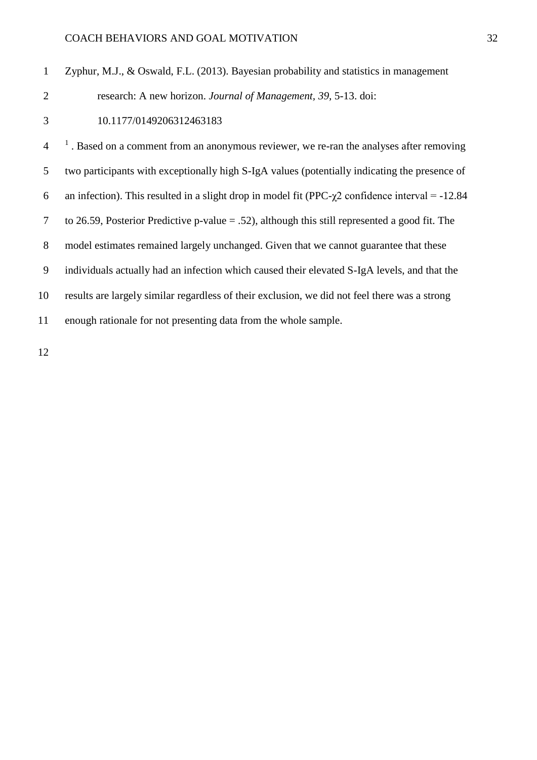Zyphur, M.J., & Oswald, F.L. (2013). Bayesian probability and statistics in management research: A new horizon. *Journal of Management, 39,* 5-13. doi:

10.1177/0149206312463183

 $4<sup>-1</sup>$ . Based on a comment from an anonymous reviewer, we re-ran the analyses after removing

two participants with exceptionally high S-IgA values (potentially indicating the presence of

6 an infection). This resulted in a slight drop in model fit (PPC- $\chi$ 2 confidence interval = -12.84

to 26.59, Posterior Predictive p-value = .52), although this still represented a good fit. The

model estimates remained largely unchanged. Given that we cannot guarantee that these

individuals actually had an infection which caused their elevated S-IgA levels, and that the

results are largely similar regardless of their exclusion, we did not feel there was a strong

enough rationale for not presenting data from the whole sample.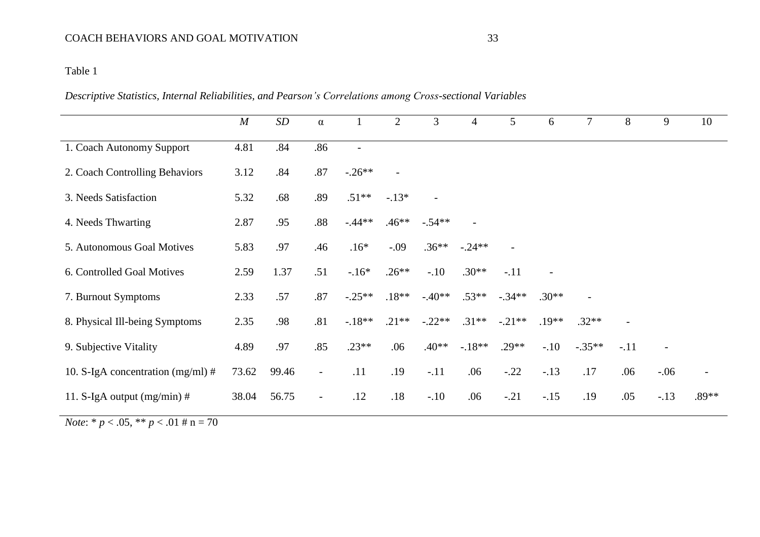# Table 1

*Descriptive Statistics, Internal Reliabilities, and Pearson's Correlations among Cross-sectional Variables*

|                                     | $\boldsymbol{M}$ | SD    | $\alpha$                 |                | 2       | 3        | $\overline{4}$           | 5        | 6       | $\tau$   | 8      | 9                        | 10      |
|-------------------------------------|------------------|-------|--------------------------|----------------|---------|----------|--------------------------|----------|---------|----------|--------|--------------------------|---------|
| 1. Coach Autonomy Support           | 4.81             | .84   | .86                      | $\overline{a}$ |         |          |                          |          |         |          |        |                          |         |
| 2. Coach Controlling Behaviors      | 3.12             | .84   | .87                      | $-.26**$       |         |          |                          |          |         |          |        |                          |         |
| 3. Needs Satisfaction               | 5.32             | .68   | .89                      | $.51**$        | $-.13*$ |          |                          |          |         |          |        |                          |         |
| 4. Needs Thwarting                  | 2.87             | .95   | .88                      | $-.44**$       | $.46**$ | $-.54**$ | $\overline{\phantom{a}}$ |          |         |          |        |                          |         |
| 5. Autonomous Goal Motives          | 5.83             | .97   | .46                      | $.16*$         | $-.09$  | $.36**$  | $-.24**$                 |          |         |          |        |                          |         |
| 6. Controlled Goal Motives          | 2.59             | 1.37  | .51                      | $-16*$         | $.26**$ | $-.10$   | $.30**$                  | $-.11$   |         |          |        |                          |         |
| 7. Burnout Symptoms                 | 2.33             | .57   | .87                      | $-.25**$       | $.18**$ | $-.40**$ | $.53**$                  | $-.34**$ | $.30**$ |          |        |                          |         |
| 8. Physical Ill-being Symptoms      | 2.35             | .98   | .81                      | $-.18**$       | $.21**$ | $-.22**$ | $.31**$                  | $-.21**$ | $.19**$ | $.32**$  |        |                          |         |
| 9. Subjective Vitality              | 4.89             | .97   | .85                      | $.23**$        | .06     | $.40**$  | $-.18**$                 | $.29**$  | $-.10$  | $-.35**$ | $-.11$ | $\overline{\phantom{0}}$ |         |
| 10. S-IgA concentration $(mg/ml)$ # | 73.62            | 99.46 | $\blacksquare$           | .11            | .19     | $-.11$   | .06                      | $-.22$   | $-.13$  | .17      | .06    | $-.06$                   |         |
| 11. S-IgA output $(mg/min)$ #       | 38.04            | 56.75 | $\overline{\phantom{a}}$ | .12            | .18     | $-.10$   | .06                      | $-.21$   | $-.15$  | .19      | .05    | $-.13$                   | $.89**$ |

*Note*: \*  $p < .05$ , \*\*  $p < .01$  #  $n = 70$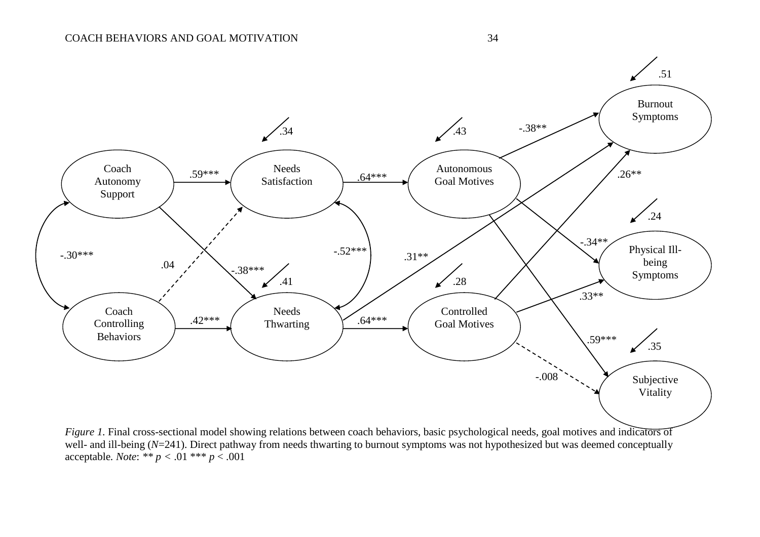

*Figure 1*. Final cross-sectional model showing relations between coach behaviors, basic psychological needs, goal motives and indicators of well- and ill-being (*N*=241). Direct pathway from needs thwarting to burnout symptoms was not hypothesized but was deemed conceptually acceptable. *Note*: \*\*  $p < .01$  \*\*\*  $p < .001$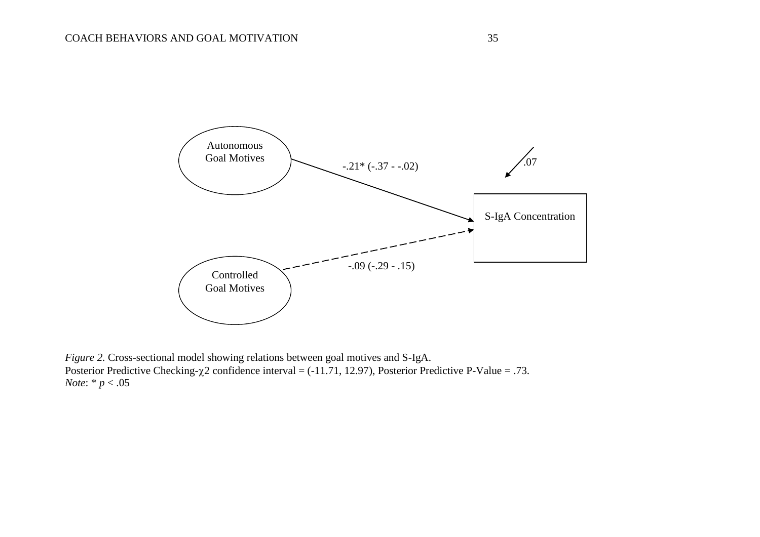

*Figure 2.* Cross-sectional model showing relations between goal motives and S-IgA. Posterior Predictive Checking- $\chi$ 2 confidence interval = (-11.71, 12.97), Posterior Predictive P-Value = .73. *Note*: \* *p* < .05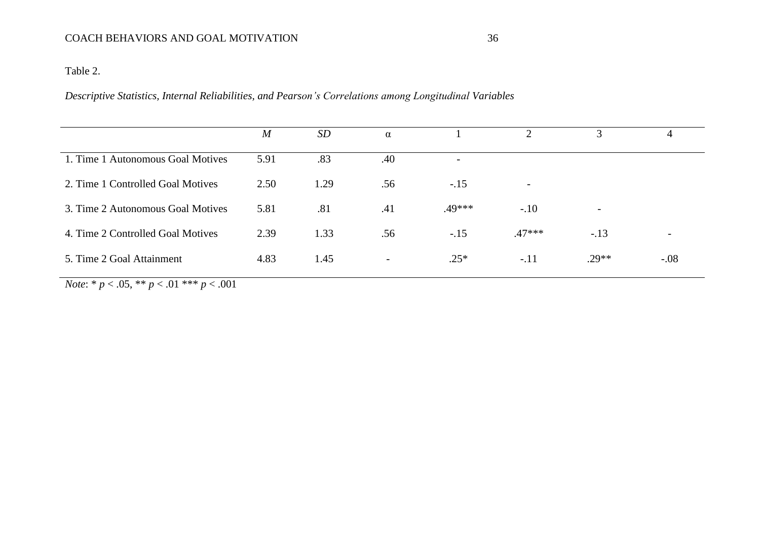Table 2.

*Descriptive Statistics, Internal Reliabilities, and Pearson's Correlations among Longitudinal Variables*

|                                   | $\boldsymbol{M}$ | SD   | $\alpha$                 |                          |                          |                          |        |
|-----------------------------------|------------------|------|--------------------------|--------------------------|--------------------------|--------------------------|--------|
| 1. Time 1 Autonomous Goal Motives | 5.91             | .83  | .40                      | $\overline{\phantom{a}}$ |                          |                          |        |
| 2. Time 1 Controlled Goal Motives | 2.50             | 1.29 | .56                      | $-.15$                   | $\overline{\phantom{a}}$ |                          |        |
| 3. Time 2 Autonomous Goal Motives | 5.81             | .81  | .41                      | .49***                   | $-.10$                   | $\overline{\phantom{a}}$ |        |
| 4. Time 2 Controlled Goal Motives | 2.39             | 1.33 | .56                      | $-.15$                   | $.47***$                 | $-.13$                   |        |
| 5. Time 2 Goal Attainment         | 4.83             | 1.45 | $\overline{\phantom{a}}$ | $.25*$                   | $-.11$                   | $.29**$                  | $-.08$ |

*Note*: \*  $p < .05$ , \*\*  $p < .01$  \*\*\*  $p < .001$